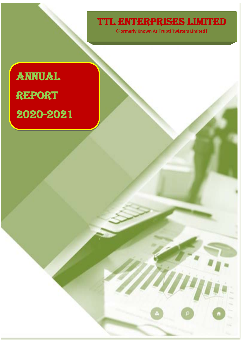# TTL ENTERPRISES LIMITED (**Formerly Known As Trupti Twisters Limited**)

# ANNUAL REPORT 2020-2021

Ė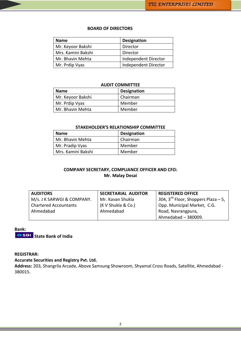# **BOARD OF DIRECTORS**

| <b>Name</b>        | <b>Designation</b>   |
|--------------------|----------------------|
| Mr. Keyoor Bakshi  | Director             |
| Mrs. Kamini Bakshi | Director             |
| Mr. Bhavin Mehta   | Independent Director |
| Mr. Prdip Vyas     | Independent Director |

# **AUDIT COMMITTEE**

| <b>Name</b>       | <b>Designation</b> |
|-------------------|--------------------|
| Mr. Keyoor Bakshi | Chairman           |
| Mr. Prdip Vyas    | Member             |
| Mr. Bhavin Mehta  | Member             |

# **STAKEHOLDER'S RELATIONSHIP COMMITTEE**

| <b>Name</b>        | <b>Designation</b> |
|--------------------|--------------------|
| Mr. Bhavin Mehta   | Chairman           |
| Mr. Pradip Vyas    | Member             |
| Mrs. Kamini Bakshi | Member             |

# **COMPANY SECRETARY, COMPLIANCE OFFICER AND CFO: Mr. Malay Desai**

| <b>AUDITORS</b>              | SECRETARIAL AUDITOR | <b>REGISTERED OFFICE</b>                        |
|------------------------------|---------------------|-------------------------------------------------|
| M/s. J K SARWGI & COMPANY.   | Mr. Kavan Shukla    | 304, $3^{\text{rd}}$ Floor, Shoppers Plaza – 5, |
| <b>Chartered Accountants</b> | (K V Shukla & Co.)  | Opp. Municipal Market, C.G.                     |
| Ahmedabad                    | Ahmedabad           | Road, Navrangpura,                              |
|                              |                     | Ahmedabad - 380009.                             |

**Bank:**

**SBI** State Bank of India

# **REGISTRAR:**

# **Accurate Securities and Registry Pvt. Ltd.**

**Address:** 203, Shangrila Arcade, Above Samsung Showroom, Shyamal Cross Roads, Satellite, Ahmedabad - 380015.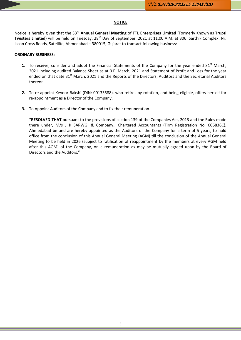# **NOTICE**

Notice is hereby given that the 33rd **Annual General Meeting** of **TTL Enterprises Limited** (Formerly Known as **Trupti**  Twisters Limited) will be held on Tuesday, 28<sup>th</sup> Day of September, 2021 at 11:00 A.M. at 306, Sarthik Complex, Nr. Iscon Cross Roads, Satellite, Ahmedabad – 380015, Gujarat to transact following business:

# **ORDINARY BUSINESS:**

- **1.** To receive, consider and adopt the Financial Statements of the Company for the year ended  $31<sup>st</sup>$  March, 2021 including audited Balance Sheet as at  $31<sup>st</sup>$  March, 2021 and Statement of Profit and Loss for the year ended on that date 31<sup>st</sup> March, 2021 and the Reports of the Directors, Auditors and the Secretarial Auditors thereon.
- **2.** To re-appoint Keyoor Bakshi (DIN: 00133588), who retires by rotation, and being eligible, offers herself for re-appointment as a Director of the Company.
- **3.** To Appoint Auditors of the Company and to fix their remuneration.

**"RESOLVED THAT** pursuant to the provisions of section 139 of the Companies Act, 2013 and the Rules made there under, M/s J K SARWGI & Company., Chartered Accountants (Firm Registration No. 006836C), Ahmedabad be and are hereby appointed as the Auditors of the Company for a term of 5 years, to hold office from the conclusion of this Annual General Meeting (AGM) till the conclusion of the Annual General Meeting to be held in 2026 (subject to ratification of reappointment by the members at every AGM held after this AGM) of the Company, on a remuneration as may be mutually agreed upon by the Board of Directors and the Auditors."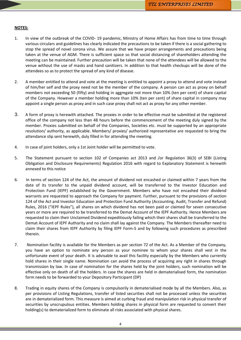# **NOTES:**

- 1. In view of the outbreak of the COVID- 19 pandemic, Ministry of Home Affairs has from time to time through various circulars and guidelines has clearly indicated the precautions to be taken if there is a social gathering to stop the spread of novel corona virus. We assure that we have proper arrangements and precautions being taken at the venue of AGM. There is sufficient space so that social distancing of shareholders attending the meeting can be maintained. Further precaution will be taken that none of the attendees will be allowed to the venue without the use of masks and hand sanitizers. In addition to that health checkups will be done of the attendees so as to protect the spread of any kind of disease.
- 2. A member entitled to attend and vote at the meeting is entitled to appoint a proxy to attend and vote instead of him/her self and the proxy need not be the member of the company. A person can act as proxy on behalf members not exceeding 50 (fifty) and holding in aggregate not more than 10% (ten per cent) of share capital of the Company. However a member holding more than 10% (ten per cent) of share capital in company may appoint a single person as proxy and in such case proxy shall not act as proxy for any other member.
- 3. A form of proxy is herewith attached. The proxies in order to be effective must be submitted at the registered office of the company not less than 48 hours before the commencement of the meeting duly signed by the member. Proxies submitted on behalf of the Companies, Societies etc. must be supported by an appropriate resolution/ authority, as applicable. Members/ proxies/ authorized representative are requested to bring the attendance slip sent herewith, duly filled in for attending the meeting.
- 4. In case of joint holders, only a 1st Joint holder will be permitted to vote.
- 5. The Statement pursuant to section 102 of Companies act 2013 and /or Regulation 36(3) of SEBI (Listing Obligation and Disclosure Requirements) Regulation 2016 with regard to Explanatory Statement is herewith annexed to this notice
- 6. In terms of section 124 of the Act, the amount of dividend not encashed or claimed within 7 years from the date of its transfer to the unpaid dividend account, will be transferred to the Investor Education and Protection Fund (IEPF) established by the Government. Members who have not encashed their dividend warrants are requested to approach the Company for payment. Further, pursuant to the provisions of section 124 of the Act and Investor Education and Protection Fund Authority (Accounting, Audit, Transfer and Refund) Rules, 2016 ("IEPF Rules"), all shares on which dividend has not been paid or claimed for seven consecutive years or more are required to be transferred to the Demat Account of the IEPF Authority. Hence Members are requested to claim their Unclaimed Dividend expeditiously failing which their shares shall be transferred to the Demat Account of IEPF Authority and no claim shall lay against the Company. The Members thereafter need to claim their shares from IEPF Authority by filing IEPF Form-5 and by following such procedures as prescribed therein.
- 7. Nomination facility is available for the Members as per section 72 of the Act. As a Member of the Company, you have an option to nominate any person as your nominee to whom your shares shall vest in the unfortunate event of your death. It is advisable to avail this facility especially by the Members who currently hold shares in their single name. Nomination can avoid the process of acquiring any right in shares through transmission by law. In case of nomination for the shares held by the joint holders, such nomination will be effective only on death of all the holders. In case the shares are held in dematerialised form, the nomination form needs to be forwarded to your Depository Participant (DP)
- 8. Trading in equity shares of the Company is compulsorily in dematerialised mode by all the Members. Also, as per provisions of Listing Regulations, transfer of listed securities shall not be processed unless the securities are in dematerialized form. This measure is aimed at curbing fraud and manipulation risk in physical transfer of securities by unscrupulous entities. Members holding shares in physical form are requested to convert their holding(s) to dematerialized form to eliminate all risks associated with physical shares.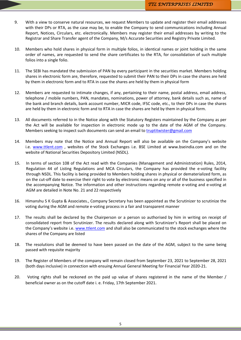- 9. With a view to conserve natural resources, we request Members to update and register their email addresses with their DPs or RTA, as the case may be, to enable the Company to send communications including Annual Report, Notices, Circulars, etc. electronically. Members may register their email addresses by writing to the Registrar and Share Transfer agent of the Company, M/s Accurate Securities and Registry Private Limited.
- 10. Members who hold shares in physical form in multiple folios, in identical names or joint holding in the same order of names, are requested to send the share certificates to the RTA, for consolidation of such multiple folios into a single folio.
- 11. The SEBI has mandated the submission of PAN by every participant in the securities market. Members holding shares in electronic form are, therefore, requested to submit their PAN to their DPs in case the shares are held by them in electronic form and to RTA in case the shares are held by them in physical form
- 12. Members are requested to intimate changes, if any, pertaining to their name, postal address, email address, telephone / mobile numbers, PAN, mandates, nominations, power of attorney, bank details such as, name of the bank and branch details, bank account number, MICR code, IFSC code, etc., to their DPs in case the shares are held by them in electronic form and to RTA in case the shares are held by them in physical form.
- 13. All documents referred to in the Notice along with the Statutory Registers maintained by the Company as per the Act will be available for inspection in electronic mode up to the date of the AGM of the Company. Members seeking to inspect such documents can send an email t[o truptitwister@gmail.com](mailto:truptitwister@gmail.com)
- 14. Members may note that the Notice and Annual Report will also be available on the Company's website i.e. [www.ttlent.com](http://www.ttlent.com/) , websites of the Stock Exchanges i.e. BSE Limited at www.bseindia.com and on the website of National Securities Depository Limited (NSDL).
- 15. In terms of section 108 of the Act read with the Companies (Management and Administration) Rules, 2014, Regulation 44 of Listing Regulations and MCA Circulars, the Company has provided the e-voting facility through NSDL. This facility is being provided to Members holding shares in physical or dematerialized form, as on the cut-off date to exercise their right to vote by electronic means on any or all of the business specified in the accompanying Notice. The information and other instructions regarding remote e-voting and e-voting at AGM are detailed in Note No. 21 and 22 respectively
- 16. Himanshu S K Gupta & Associates., Company Secretary has been appointed as the Scrutinizer to scrutinize the voting during the AGM and remote e-voting process in a fair and transparent manner
- 17. The results shall be declared by the Chairperson or a person so authorised by him in writing on receipt of consolidated report from Scrutinizer. The results declared along with Scrutinizer's Report shall be placed on the Company's website i.e. [www.ttlent.com](http://www.ttlent.com/) and shall also be communicated to the stock exchanges where the shares of the Company are listed
- 18. The resolutions shall be deemed to have been passed on the date of the AGM, subject to the same being passed with requisite majority
- 19. The Register of Members of the company will remain closed from September 23, 2021 to September 28, 2021 (both days inclusive) in connection with ensuing Annual General Meeting for Financial Year 2020-21.
- 20. Voting rights shall be reckoned on the paid up value of shares registered in the name of the Member / beneficial owner as on the cutoff date i. e. Friday, 17th September 2021.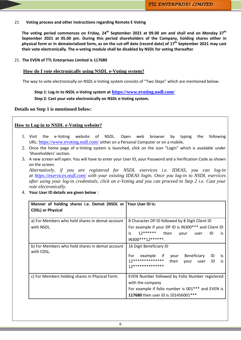# 21 **Voting process and other instructions regarding Remote E Voting**

**The voting period commences on Friday, 24th September 2021 at 09.00 am and shall end on Monday 27th September 2021 at 05.00 pm. During this period shareholders of the Company, holding shares either in physical form or in dematerialized form, as on the cut-off date (record date) of 17th September 2021 may cast their vote electronically. The e-voting module shall be disabled by NSDL for voting thereafter**.

# 21. **The EVEN of TTL Enterprises Limited is 117680**

# **How do I vote electronically using NSDL e-Voting system?**

The way to vote electronically on NSDL e-Voting system consists of "Two Steps" which are mentioned below:

# **Step 1: Log-in to NSDL e-Voting system at <https://www.evoting.nsdl.com/>**

 **Step 2: Cast your vote electronically on NSDL e-Voting system.**

# **Details on Step 1 is mentioned below:**

# **How to Log-in to NSDL e-Voting website?**

- 1. Visit the e-Voting website of NSDL. Open web browser by typing the following URL:<https://www.evoting.nsdl.com/> either on a Personal Computer or on a mobile.
- 2. Once the home page of e-Voting system is launched, click on the icon "Login" which is available under 'Shareholders' section.
- 3. A new screen will open. You will have to enter your User ID, your Password and a Verification Code as shown on the screen.

*Alternatively, if you are registered for NSDL eservices i.e. IDEAS, you can log-in at<https://eservices.nsdl.com/> with your existing IDEAS login. Once you log-in to NSDL eservices after using your log-in credentials, click on e-Voting and you can proceed to Step 2 i.e. Cast your vote electronically.*

4. **Your User ID details are given below** :

| Manner of holding shares i.e. Demat (NSDL or Your User ID is:<br><b>CDSL) or Physical</b> |                                                          |  |  |
|-------------------------------------------------------------------------------------------|----------------------------------------------------------|--|--|
|                                                                                           |                                                          |  |  |
| a) For Members who hold shares in demat account                                           | 8 Character DP ID followed by 8 Digit Client ID          |  |  |
| with NSDL.                                                                                | For example if your DP ID is IN300*** and Client ID      |  |  |
|                                                                                           | 12****** then<br>is<br>vour user<br>ID<br><b>is</b>      |  |  |
|                                                                                           | IN300***12*******.                                       |  |  |
| b) For Members who hold shares in demat account                                           | 16 Digit Beneficiary ID                                  |  |  |
| with CDSL.                                                                                | example if your<br>Beneficiary<br>ID<br>For<br>is.       |  |  |
|                                                                                           | 12***************<br>then<br>ID<br>is is<br>your<br>user |  |  |
|                                                                                           | 17**************                                         |  |  |
|                                                                                           |                                                          |  |  |
| c) For Members holding shares in Physical Form.                                           | EVEN Number followed by Folio Number registered          |  |  |
|                                                                                           | with the company                                         |  |  |
|                                                                                           | For example if folio number is 001*** and EVEN is        |  |  |
|                                                                                           | 117680 then user ID is 101456001 ***                     |  |  |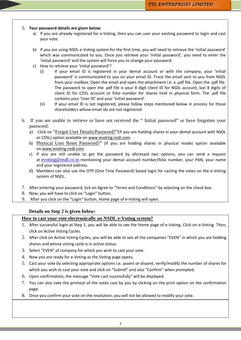# 5. **Your password details are given below**:

- a) If you are already registered for e-Voting, then you can user your existing password to login and cast your vote.
- b) If you are using NSDL e-Voting system for the first time, you will need to retrieve the 'initial password' which was communicated to you. Once you retrieve your 'initial password', you need to enter the 'initial password' and the system will force you to change your password.
- c) How to retrieve your 'initial password'?
	- (i) If your email ID is registered in your demat account or with the company, your 'initial password' is communicated to you on your email ID. Trace the email sent to you from NSDL from your mailbox. Open the email and open the attachment i.e. a .pdf file. Open the .pdf file. The password to open the .pdf file is your 8 digit client ID for NSDL account, last 8 digits of client ID for CDSL account or folio number for shares held in physical form. The .pdf file contains your 'User ID' and your 'initial password'.
	- (ii) If your email ID is not registered, please follow steps mentioned below in process for those shareholders whose email ids are not registered
- 6. If you are unable to retrieve or have not received the " Initial password" or have forgotten your password:
	- a) Click on ["Forgot User Details/Password?"](https://www.evoting.nsdl.com/eVotingWeb/commonhtmls/NewUser.jsp)(If you are holding shares in your demat account with NSDL or CDSL) option available on www.evoting.nsdl.com.
	- b) [Physical User Reset Password?"](https://www.evoting.nsdl.com/eVotingWeb/commonhtmls/PhysicalUser.jsp) (If you are holding shares in physical mode) option available on [www.evoting.nsdl.com.](http://www.evoting.nsdl.com/)
	- c) If you are still unable to get the password by aforesaid two options, you can send a request at [evoting@nsdl.co.in](mailto:evoting@nsdl.co.in) mentioning your demat account number/folio number, your PAN, your name and your registered address.
	- d) Members can also use the OTP (One Time Password) based login for casting the votes on the e-Voting system of NSDL.
- 7. After entering your password, tick on Agree to "Terms and Conditions" by selecting on the check box.
- 8. Now, you will have to click on "Login" button.
- 9. After you click on the "Login" button, Home page of e-Voting will open.

# **Details on Step 2 is given below:**

# **How to cast your vote electronically on NSDL e-Voting system?**

- 1. After successful login at Step 1, you will be able to see the Home page of e-Voting. Click on e-Voting. Then, click on Active Voting Cycles.
- 2. After click on Active Voting Cycles, you will be able to see all the companies "EVEN" in which you are holding shares and whose voting cycle is in active status.
- 3. Select "EVEN" of company for which you wish to cast your vote.
- 4. Now you are ready for e-Voting as the Voting page opens.
- 5. Cast your vote by selecting appropriate options i.e. assent or dissent, verify/modify the number of shares for which you wish to cast your vote and click on "Submit" and also "Confirm" when prompted.
- 6. Upon confirmation, the message "Vote cast successfully" will be displayed.
- 7. You can also take the printout of the votes cast by you by clicking on the print option on the confirmation page.
- 8. Once you confirm your vote on the resolution, you will not be allowed to modify your vote.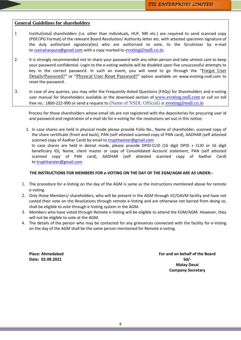# **General Guidelines for shareholders**

- 1 Institutional shareholders (i.e. other than individuals, HUF, NRI etc.) are required to send scanned copy (PDF/JPG Format) of the relevant Board Resolution/ Authority letter etc. with attested specimen signature of the duly authorized signatory(ies) who are authorized to vote, to the Scrutinizer by e-mail to [csviralranpura@gmail.com](mailto:csviralranpura@gmail.com) with a copy marked to **evoting@nsdl.co.in**.
- 2. It is strongly recommended not to share your password with any other person and take utmost care to keep your password confidential. Login to the e-voting website will be disabled upon five unsuccessful attempts to key in the correct password. In such an event, you will need to go through the ["Forgot User](https://www.evoting.nsdl.com/eVotingWeb/commonhtmls/NewUser.jsp)  [Details/Password?"](https://www.evoting.nsdl.com/eVotingWeb/commonhtmls/NewUser.jsp) or ["Physical User Reset Password?"](https://www.evoting.nsdl.com/eVotingWeb/commonhtmls/PhysicalUser.jsp) option available on www.evoting.nsdl.com to reset the password.
- 3. In case of any queries, you may refer the Frequently Asked Questions (FAQs) for Shareholders and e-voting user manual for Shareholders available at the download section of [www.evoting.nsdl.com](http://www.evoting.nsdl.com/) or call on toll free no.: 1800-222-990 or send a request to (Name of NSDL Official) at [evoting@nsdl.co.in](mailto:evoting@nsdl.co.in)

 Process for those shareholders whose email ids are not registered with the depositories for procuring user id and password and registration of e mail ids for e-voting for the resolutions set out in this notice:

1. In case shares are held in physical mode please provide Folio No., Name of shareholder, scanned copy of the share certificate (front and back), PAN (self attested scanned copy of PAN card), AADHAR (self attested scanned copy of Aadhar Card) by email to [truptitwister@gmail.com](mailto:truptitwister@gmail.com) In case shares are held in demat mode, please provide DPID-CLID (16 digit DPID + CLID or 16 digit beneficiary ID), Name, client master or copy of Consolidated Account statement, PAN (self attested scanned copy of PAN card), AADHAR (self attested scanned copy of Aadhar Card) t[o truptitwister@gmail.com](mailto:truptitwister@gmail.com)

# **THE INSTRUCTIONS FOR MEMBERS FOR e-VOTING ON THE DAY OF THE EGM/AGM ARE AS UNDER:-**

- 1. The procedure for e-Voting on the day of the AGM is same as the instructions mentioned above for remote e-voting.
- 2. Only those Members/ shareholders, who will be present in the AGM through VC/OAVM facility and have not casted their vote on the Resolutions through remote e-Voting and are otherwise not barred from doing so, shall be eligible to vote through e-Voting system in the AGM.
- 3. Members who have voted through Remote e-Voting will be eligible to attend the EGM/AGM. However, they will not be eligible to vote at the AGM.
- 4. The details of the person who may be contacted for any grievances connected with the facility for e-Voting on the day of the AGM shall be the same person mentioned for Remote e-voting.

**Place: Ahmedabad Date: 02.09.2021**

**For and on behalf of the Board Sd/- Malay Desai Company Secretary**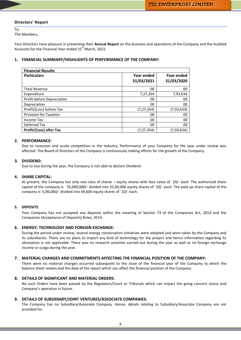# **Directors' Report**

To,

The Members,

Your Directors have pleasure in presenting their **Annual Report** on the business and operations of the Company and the Audited Accounts for the Financial Year ended  $31<sup>st</sup>$  March, 2021.

# **1. FINANCIAL SUMMARY/HIGHLIGHTS OF PERFORMANCE OF THE COMPANY:**

| <b>Financial Results</b>       |                          |            |  |
|--------------------------------|--------------------------|------------|--|
| <b>Particulars</b>             | Year ended<br>31/03/2021 |            |  |
|                                |                          | 31/03/2020 |  |
| <b>Total Revenue</b>           | 00                       | 00         |  |
| Expenditure                    | 7,27,354                 | 7,93,634   |  |
| Profit before Depreciation     | 00                       | 00         |  |
| Depreciation                   | 00                       | 00         |  |
| Profit/(Loss) before Tax       | (7, 27, 354)             | (7,93,634) |  |
| <b>Provision for Taxation</b>  | 00                       | 00         |  |
| Income Tax                     | 00                       | 00         |  |
| Deferred Tax                   | 00                       | 00         |  |
| <b>Profit/(Loss) after Tax</b> | (7,27,354)               | (7,93,634) |  |

# **2. PERFORMANCE:**

Due to recession and acute competition in the Industry, Performance of your Company for the year under review was affected. The Board of Directors of the Company is continuously making efforts for the growth of the Company.

# **3. DIVIDEND:**

Due to loss during the year, the Company is not able to declare Dividend

# **4. SHARE CAPITAL:**

At present, the Company has only one class of shares – equity shares with face value of `10/- each. The authorized share capital of the company is ` 35,000,000/- divided into 35,00,000 equity shares of `10/- each. The paid up share capital of the company is` 6,96,000/- divided into 69,600 equity shares of `10/- each.

# **5. DEPOSITS:**

Your Company has not accepted any deposits within the meaning of Section 73 of the Companies Act, 2013 and the Companies (Acceptance of Deposits) Rules, 2014.

# **6. ENERGY, TECHNOLOGY AND FOREIGN EXCHANGE:**

During the period under review, several energy conservation initiatives were adopted and were taken by the Company and its subsidiaries. There are no plans to import any kind of technology for the project and hence information regarding its absorption is not applicable. There was no research activities carried out during the year as well as no foreign exchange income or outgo during the year.

# **7. MATERIAL CHANGES AND COMMITMENTS AFFECTING THE FINANCIAL POSITION OF THE COMPANY:**

There were no material changes occurred subsequent to the close of the financial year of the Company to which the balance sheet relates and the date of the report which can affect the financial position of the Company.

# **8. DETAILS OF SIGNIFICANT AND MATERIAL ORDERS:**

No such Orders have been passed by the Regulators/Court or Tribunals which can impact the going concern status and Company's operation in future.

# **9. DETAILS OF SUBSIDIARY/JOINT VENTURES/ASSOCIATE COMPANIES:**

The Company has no Subsidiary/Associate Company. Hence, details relating to Subsidiary/Associate Company are not provided for.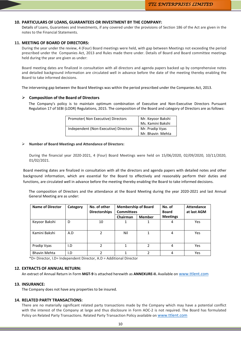# **10. PARTICULARS OF LOANS, GUARANTEES OR INVESTMENT BY THE COMPANY:**

Details of Loans, Guarantees and Investments, if any covered under the provisions of Section 186 of the Act are given in the notes to the Financial Statements.

# **11. MEETING OF BOARD OF DIRECTORS:**

During the year under the review, 4 (Four) Board meetings were held, with gap between Meetings not exceeding the period prescribed under the Companies Act, 2013 and Rules made there under. Details of Board and Board committee meetings held during the year are given as under:

Board meeting dates are finalized in consultation with all directors and agenda papers backed up by comprehensive notes and detailed background information are circulated well in advance before the date of the meeting thereby enabling the Board to take informed decisions.

The intervening gap between the Board Meetings was within the period prescribed under the Companies Act, 2013.

# **Composition of the Board of Directors**

The Company's policy is to maintain optimum combination of Executive and Non-Executive Directors Pursuant Regulation 17 of SEBI (LODR) Regulations, 2015. The composition of the Board and category of Directors are as follows:

| Promoter( Non Executive) Directors    | Mr. Keyoor Bakshi |
|---------------------------------------|-------------------|
|                                       | Ms. Kamini Bakshi |
| Independent (Non-Executive) Directors | Mr. Pradip Vyas   |
|                                       | Mr. Bhavin Mehta  |

# **Number of Board Meetings and Attendance of Directors:**

During the financial year 2020-2021, 4 (Four) Board Meetings were held on 15/06/2020, 02/09/2020, 10/11/2020, 01/02/2021.

Board meeting dates are finalized in consultation with all the directors and agenda papers with detailed notes and other background information, which are essential for the Board to effectively and reasonably perform their duties and functions, are circulated well in advance before the meeting thereby enabling the Board to take informed decisions.

The composition of Directors and the attendance at the Board Meeting during the year 2020-2021 and last Annual General Meeting are as under:

| <b>Name of Director</b> | Category | No. of other<br><b>Directorships</b> | <b>Membership of Board</b><br><b>Committees</b> |                | No. of<br><b>Board</b> | <b>Attendance</b><br>at last AGM |
|-------------------------|----------|--------------------------------------|-------------------------------------------------|----------------|------------------------|----------------------------------|
|                         |          |                                      | Chairman                                        | <b>Member</b>  | <b>Meetings</b>        |                                  |
| Keyoor Bakshi           | D        | 10                                   |                                                 |                | 4                      | <b>Yes</b>                       |
| Kamini Bakshi           | A.D      | ำ                                    | Nil                                             |                | 4                      | <b>Yes</b>                       |
| Pradip Vyas             | I.D      | C                                    |                                                 | $\mathfrak{p}$ | 4                      | <b>Yes</b>                       |
| <b>Bhavin Mehta</b>     | I.D      | 2                                    |                                                 | $\mathfrak{p}$ | 4                      | <b>Yes</b>                       |

\*D= Director, I.D= Independent Director, A.D = Additional Director

# **12. EXTRACTS OF ANNUAL RETURN:**

An extract of Annual Return in Form MGT-9 is attached herewith as ANNEXURE-II. Available on www.ttlent.com

# **13. INSURANCE:**

The Company does not have any properties to be insured.

# **14. RELATED PARTY TRANSACTIONS:**

There are no materially significant related party transactions made by the Company which may have a potential conflict with the interest of the Company at large and thus disclosure in Form AOC-2 is not required. The Board has formulated Policy on Related Party Transactions. Related Party Transaction Policy available on www.ttlent.com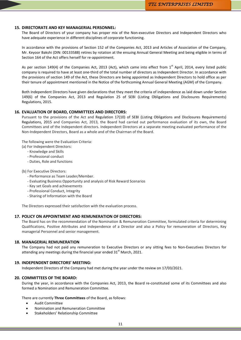### **15. DIRECTORATE AND KEY MANAGERIAL PERSONNEL:**

The Board of Directors of your company has proper mix of the Non-executive Directors and Independent Directors who have adequate experience in different disciplines of corporate functioning.

In accordance with the provisions of Section 152 of the Companies Act, 2013 and Articles of Association of the Company, Mr. Keyoor Bakshi (DIN: 00133588) retires by rotation at the ensuing Annual General Meeting and being eligible in terms of Section 164 of the Act offers herself for re-appointment.

As per section 149(4) of the Companies Act, 2013 (Act), which came into effect from  $1^{st}$  April, 2014, every listed public company is required to have at least one-third of the total number of directors as Independent Director. In accordance with the provisions of section 149 of the Act, these Directors are being appointed as Independent Directors to hold office as per their tenure of appointment mentioned in the Notice of the forthcoming Annual General Meeting (AGM) of the Company.

Both Independent Directors have given declarations that they meet the criteria of independence as laid down under Section 149(6) of the Companies Act, 2013 and Regulation 25 of SEBI (Listing Obligations and Disclosures Requirements) Regulations, 2015.

#### **16. EVALUATION OF BOARD, COMMITTEES AND DIRECTORS:**

Pursuant to the provisions of the Act and Regulation 17(10) of SEBI (Listing Obligations and Disclosures Requirements) Regulations, 2015 and Companies Act, 2013, the Board had carried out performance evaluation of its own, the Board Committees and of the Independent directors. Independent Directors at a separate meeting evaluated performance of the Non-Independent Directors, Board as a whole and of the Chairman of the Board.

The following were the Evaluation Criteria:

- (a) For Independent Directors:
	- Knowledge and Skills
	- Professional conduct
	- Duties, Role and functions

(b) For Executive Directors:

- Performance as Team Leader/Member.
- Evaluating Business Opportunity and analysis of Risk Reward Scenarios
- Key set Goals and achievements
- Professional Conduct, Integrity
- Sharing of Information with the Board

The Directors expressed their satisfaction with the evaluation process.

#### **17. POLICY ON APPOINTMENT AND REMUNERATION OF DIRECTORS:**

The Board has on the recommendation of the Nomination & Remuneration Committee, formulated criteria for determining Qualifications, Positive Attributes and Independence of a Director and also a Policy for remuneration of Directors, Key managerial Personnel and senior management.

#### **18. MANAGERIAL REMUNERATION**

The Company had not paid any remuneration to Executive Directors or any sitting fees to Non-Executives Directors for attending any meetings during the financial year ended  $31<sup>st</sup>$  March, 2021.

#### **19. INDEPENDENT DIRECTORS' MEETING:**

Independent Directors of the Company had met during the year under the review on 17/03/2021.

#### **20. COMMITTEES OF THE BOARD:**

During the year, in accordance with the Companies Act, 2013, the Board re-constituted some of its Committees and also formed a Nomination and Remuneration Committee.

There are currently **Three Committees** of the Board, as follows:

- Audit Committee
- Nomination and Remuneration Committee
- Stakeholders' Relationship Committee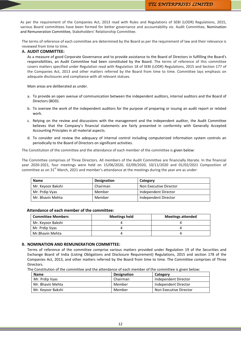As per the requirement of the Companies Act, 2013 read with Rules and Regulations of SEBI (LODR) Regulations, 2015, various Board committees have been formed for better governance and accountability viz. Audit Committee, Nomination and Remuneration Committee, Stakeholders' Relationship Committee.

The terms of reference of each committee are determined by the Board as per the requirement of law and their relevance is reviewed from time to time.

# **A. AUDIT COMMITTEE:**

As a measure of good Corporate Governance and to provide assistance to the Board of Directors in fulfilling the Board's responsibilities, an Audit Committee had been constituted by the Board. The terms of reference of this committee covers matters specified under Regulation read with Regulation 18 of SEBI (LODR) Regulations, 2015 and Section 177 of the Companies Act, 2013 and other matters referred by the Board from time to time. Committee lays emphasis on adequate disclosures and compliance with all relevant statues.

Main areas are deliberated as under.

- a. To provide an open avenue of communication between the independent auditors, internal auditors and the Board of Directors (BOD).
- b. To oversee the work of the independent auditors for the purpose of preparing or issuing an audit report or related work.
- c. Relying on the review and discussions with the management and the independent auditor, the Audit Committee believes that the Company's financial statements are fairly presented in conformity with Generally Accepted Accounting Principles in all material aspects.
- d. To consider and review the adequacy of internal control including computerized information system controls an periodically to the Board of Directors on significant activities.

The Constitution of the committee and the attendance of each member of the committee is given below:

The Committee comprises of Three Directors. All members of the Audit Committee are financially literate. In the financial year 2020-2021, four meetings were held on 15/06/2020, 02/09/2020, 10/11/2020 and 01/02/2021 Composition of committee as on 31 $^{\text{st}}$  March, 2021 and member's attendance at the meetings during the year are as under:

| <b>Name</b>       | <b>Designation</b> | Category               |
|-------------------|--------------------|------------------------|
| Mr. Keyoor Bakshi | Chairman           | Non Executive Director |
| Mr. Prdip Vyas    | Member             | Independent Director   |
| Mr. Bhavin Mehta  | Member             | Independent Director   |

# **Attendance of each member of the committee:**

| <b>Committee Members</b> | <b>Meetings held</b> | <b>Meetings attended</b> |
|--------------------------|----------------------|--------------------------|
| Mr. Keyoor Bakshi        |                      |                          |
| Mr. Prdip Vyas           |                      |                          |
| Mr.Bhavin Mehta          |                      |                          |

# **B. NOMINATION AND REMUNERATION COMMITTEE:**

Terms of reference of the committee comprise various matters provided under Regulation 19 of the Securities and Exchange Board of India (Listing Obligations and Disclosure Requirement) Regulations, 2015 and section 178 of the Companies Act, 2013, and other matters referred by the Board from time to time. The Committee comprises of Three **Directors** 

The Constitution of the committee and the attendance of each member of the committee is given below:

| <b>Name</b>       | <b>Designation</b> | Category               |
|-------------------|--------------------|------------------------|
| Mr. Prdip Vyas    | Chairman           | Independent Director   |
| Mr. Bhavin Mehta  | Member             | Independent Director   |
| Mr. Keyoor Bakshi | Member             | Non Executive Director |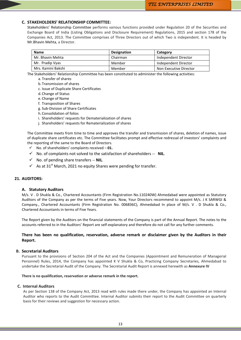# **C. STAKEHOLDERS' RELATIONSHIP COMMITTEE:**

Stakeholders' Relationship Committee performs various functions provided under Regulation 20 of the Securities and Exchange Board of India (Listing Obligations and Disclosure Requirement) Regulations, 2015 and section 178 of the Companies Act, 2013. The Committee comprises of Three Directors out of which Two is independent. It is headed by Mr.Bhavin Mehta, a Director.

| <b>Name</b>        | <b>Designation</b> | Category               |
|--------------------|--------------------|------------------------|
| Mr. Bhavin Mehta   | Chairman           | Independent Director   |
| Mr. Pradip Vyas    | Member             | Independent Director   |
| Mrs. Kamini Bakshi | Member             | Non Executive Director |

The Stakeholders' Relationship Committee has been constituted to administer the following activities:

- a. Transfer of shares
- b.Transmission of shares
- c. Issue of Duplicate Share Certificates
- d.Change of Status
- e. Change of Name
- f. Transposition of Shares
- g. Sub-Division of Share Certificates
- h.Consolidation of folios
- i. Shareholders' requests for Dematerialization of shares
- j. Shareholders' requests for Rematerialization of shares

The Committee meets from time to time and approves the transfer and transmission of shares, deletion of names, issue of duplicate share certificates etc. The Committee facilitates prompt and effective redressal of investors' complaints and the reporting of the same to the Board of Directors.

- $\checkmark$  No. of shareholders' complaints received  $-01$ .
- No. of complaints not solved to the satisfaction of shareholders -- **NIL**.
- No. of pending share transfers -- **NIL**.
- $\checkmark$  As at 31<sup>st</sup> March, 2021 no equity Shares were pending for transfer.

# **21. AUDITORS:**

#### **A. Statutory Auditors**

M/s. V . D Shukla & Co., Chartered Accountants (Firm Registration No.110240W) Ahmedabad were appointed as Statutory Auditors of the Company as per the terms of Five years. Now, Your Directors recommend to appoint M/s. J K SARWGI & Company., Chartered Accountants (Firm Registration No. 006836C), Ahmedabad In place of M/s. V . D Shukla & Co., Chartered Accountants in terms of Five Years.

The Report given by the Auditors on the financial statements of the Company is part of the Annual Report. The notes to the accounts referred to in the Auditors' Report are self-explanatory and therefore do not call for any further comments.

# **There has been no qualification, reservation, adverse remark or disclaimer given by the Auditors in their Report.**

#### **B. Secretarial Auditors**

Pursuant to the provisions of Section 204 of the Act and the Companies (Appointment and Remuneration of Managerial Personnel) Rules, 2014, the Company has appointed K V Shukla & Co, Practicing Company Secretaries, Ahmedabad to undertake the Secretarial Audit of the Company. The Secretarial Audit Report is annexed herewith as **Annexure IV**

#### **There is no qualification, reservation or adverse remark in the report.**

# **C. Internal Auditors**

As per Section 138 of the Company Act, 2013 read with rules made there under, the Company has appointed an Internal Auditor who reports to the Audit Committee. Internal Auditor submits their report to the Audit Committee on quarterly basis for their reviews and suggestion for necessary action.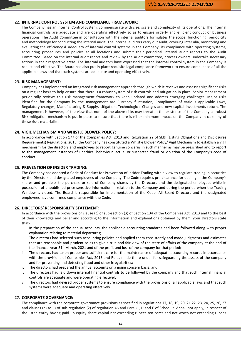#### **22. INTERNAL CONTROL SYSTEM AND COMPLIANCE FRAMEWORK:**

The Company has an Internal Control System, commensurate with size, scale and complexity of its operations. The internal financial controls are adequate and are operating effectively so as to ensure orderly and efficient conduct of business operations. The Audit Committee in consultation with the internal auditors formulates the scope, functioning, periodicity and methodology for conducting the internal audit. The internal auditors carry out audit, covering inter alia, monitoring and evaluating the efficiency & adequacy of internal control systems in the Company, its compliance with operating systems, accounting procedures and policies at all locations and submit their periodical internal audit reports to the Audit Committee. Based on the internal audit report and review by the Audit committee, process owners undertake necessary actions in their respective areas. The internal auditors have expressed that the internal control system in the Company is robust and effective. The Board has also put in place requisite legal compliance framework to ensure compliance of all the applicable laws and that such systems are adequate and operating effectively.

### **23. RISK MANAGEMENT:**

Company has implemented an integrated risk management approach through which it reviews and assesses significant risks on a regular basis to help ensure that there is a robust system of risk controls and mitigation in place. Senior management periodically reviews this risk management framework to keep updated and address emerging challenges. Major risks identified for the Company by the management are Currency fluctuation, Compliances of various applicable Laws, Regulatory changes, Manufacturing & Supply, Litigation, Technological Changes and new capital investments return. The management is however, of the view that none of the above risks may threaten the existence of the Company as robust Risk mitigation mechanism is put in place to ensure that there is nil or minimum impact on the Company in case any of these risks materialize.

# **24. VIGIL MECHANISM AND WHISTLE BLOWER POLICY:**

In accordance with Section 177 of the Companies Act, 2013 and Regulation 22 of SEBI (Listing Obligations and Disclosures Requirements) Regulations, 2015, the Company has constituted a Whistle Blower Policy/ Vigil Mechanism to establish a vigil mechanism for the directors and employees to report genuine concerns in such manner as may be prescribed and to report to the management instances of unethical behaviour, actual or suspected fraud or violation of the Company's code of conduct.

#### **25. PREVENTION OF INSIDER TRADING:**

The Company has adopted a Code of Conduct for Prevention of Insider Trading with a view to regulate trading in securities by the Directors and designated employees of the Company. The Code requires pre-clearance for dealing in the Company's shares and prohibits the purchase or sale of Company shares by the Directors and the designated employees while in possession of unpublished price sensitive information in relation to the Company and during the period when the Trading Window is closed. The Board is responsible for implementation of the Code. All Board Directors and the designated employees have confirmed compliance with the Code.

# **26. DIRECTORS' RESPONSIBILITY STATEMENT:**

In accordance with the provisions of clause (*c*) of sub-section (*3*) of Section 134 of the Companies Act, 2013 and to the best of their knowledge and belief and according to the information and explanations obtained by them, your Directors state that-

- i. In the preparation of the annual accounts, the applicable accounting standards had been followed along with proper explanation relating to material departures;
- ii. The directors had selected such accounting policies and applied them consistently and made judgments and estimates that are reasonable and prudent so as to give a true and fair view of the state of affairs of the company at the end of the financial year 31 $^{\rm st}$  March, 2021 and of the profit and loss of the company for that period;
- iii. The directors had taken proper and sufficient care for the maintenance of adequate accounting records in accordance with the provisions of Companies Act, 2013 and Rules made there under for safeguarding the assets of the company and for preventing and detecting fraud and other irregularities;
- iv. The directors had prepared the annual accounts on a going concern basis; and
- v. The directors had laid down internal financial controls to be followed by the company and that such internal financial controls are adequate and were operating effectively.
- vi. The directors had devised proper systems to ensure compliance with the provisions of all applicable laws and that such systems were adequate and operating effectively.

# **27. CORPORATE GOVERNANCE:**

The compliance with the corporate governance provisions as specified in regulations 17, 18, 19, 20, 21,22, 23, 24, 25, 26, 27 and clauses (b) to (i) of sub-regulation (2) of regulation 46 and Para C , D and E of Schedule V shall not apply, in respect of the listed entity having paid up equity share capital not exceeding rupees ten corer and net worth not exceeding rupees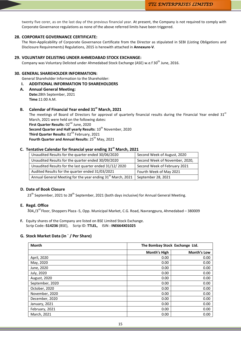twenty five corer, as on the last day of the previous financial year. At present, the Company is not required to comply with Corporate Governance regulations as none of the above referred limits have been triggered.

# **28. CORPORATE GOVERNANCE CERTIFICATE:**

The Non-Applicability of Corporate Governance Certificate from the Director as stipulated in SEBI (Listing Obligations and Disclosure Requirements) Regulations, 2015 is herewith attached in **Annexure-V**.

# **29. VOLUNTARY DELISTING UNDER AHMEDABAD STOCK EXCHANGE:**

Company was Voluntary Delisted under Ahmedabad Stock Exchange (ASE) w.e.f 30<sup>th</sup> June, 2016.

# **30. GENERAL SHAREHOLDER INFORMATION:**

General Shareholder Information to the Shareholder:

# **I. ADDITIONAL INFORMATION TO SHAREHOLDERS**

**A. Annual General Meeting: Date:**28th September, 2021 **Time**:11:00 A.M.

# **B. Calendar of Financial Year ended 31st March, 2021**

The meetings of Board of Directors for approval of quarterly financial results during the Financial Year ended  $31<sup>st</sup>$ March, 2021 were held on the following dates: **First Quarter Results: 02<sup>nd</sup> June, 2020 Second Quarter and Half yearly Results**: 10<sup>th</sup> November, 2020 Third Quarter Results: 02<sup>nd</sup> February, 2021 **Fourth Quarter and Annual Results: 25<sup>th</sup> May, 2021** 

# **C. Tentative Calendar for financial year ending 31st March, 2021**

| Unaudited Results for the quarter ended 30/06/2020                      | Second Week of August, 2020    |
|-------------------------------------------------------------------------|--------------------------------|
| Unaudited Results for the quarter ended 30/09/2020                      | Second Week of November, 2020, |
| Unaudited Results for the last quarter ended 31/12/2020                 | Second Week of February 2021   |
| Audited Results for the quarter ended 31/03/2021                        | Fourth Week of May 2021        |
| Annual General Meeting for the year ending 31 <sup>st</sup> March, 2021 | September 28, 2021             |

# **D. Date of Book Closure**

23<sup>th</sup> September, 2021 to 28<sup>th</sup> September, 2021 (both days inclusive) for Annual General Meeting.

# **E. Regd. Office**

304,/3<sup>rd</sup> Floor, Shoppers Plaza -5, Opp. Municipal Market, C.G. Road, Navrangpura, Ahmedabad – 380009

**F.** Equity shares of the Company are listed on BSE Limited Stock Exchange. Scrip Code:-**514236** (BSE), Scrip ID: **TTLEL,** ISIN : **INE664X01025**

# **G. Stock Market Data (in ` / Per Share)**

| <b>Month</b>    | The Bombay Stock Exchange Ltd. |                    |
|-----------------|--------------------------------|--------------------|
|                 | Month's High                   | <b>Month's Low</b> |
| April, 2020     | 0.00                           | 0.00               |
| May, 2020       | 0.00                           | 0.00               |
| June, 2020      | 0.00                           | 0.00               |
| July, 2020      | 0.00                           | 0.00               |
| August, 2020    | 0.00                           | 0.00               |
| September, 2020 | 0.00                           | 0.00               |
| October, 2020   | 0.00                           | 0.00               |
| November, 2020  | 0.00                           | 0.00               |
| December, 2020  | 0.00                           | 0.00               |
| January, 2021   | 0.00                           | 0.00               |
| February, 2021  | 0.00                           | 0.00               |
| March, 2021     | 0.00                           | 0.00               |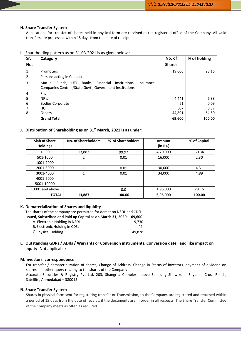## **H. Share Transfer System**

Applications for transfer of shares held in physical form are received at the registered office of the Company. All valid transfers are processed within 15 days from the date of receipt.

### **I.** Shareholding pattern as on 31-03-2021 is as given below :

| Sr. | Category                                                                                                                         | No. of        | % of holding |
|-----|----------------------------------------------------------------------------------------------------------------------------------|---------------|--------------|
| No. |                                                                                                                                  | <b>Shares</b> |              |
| 1   | Promoters                                                                                                                        | 19,600        | 28.16        |
| 2   | Persons acting in Concert                                                                                                        | $-$           | --           |
| 3   | Funds, UTI, Banks, Financial<br>Institutions,<br>Mutual<br>Insurance<br>Companies Central / State Govt., Government institutions | --            | --           |
| 4   | <b>FIIs</b>                                                                                                                      | --            | --           |
| 5   | <b>NRIS</b>                                                                                                                      | 4,441         | 6.38         |
| 6   | <b>Bodies Corporate</b>                                                                                                          | 61            | 0.09         |
|     | <b>HUF</b>                                                                                                                       | 607           | 0.87         |
| 8   | Others                                                                                                                           | 44,891        | 64.50        |
|     | <b>Grand Total</b>                                                                                                               | 69,600        | 100.00       |

# **J. Distribution of Shareholding as on 31st March, 2021 is as under:**

| <b>Slab of Share</b><br><b>Holdings</b> | <b>No. of Shareholders</b>   | % of Shareholders        | Amount<br>(in Rs.)           | % of Capital |
|-----------------------------------------|------------------------------|--------------------------|------------------------------|--------------|
| 1-500                                   | 13,883                       | 99.97                    | 4,20,000                     | 60.34        |
| 501-1000                                | 2                            | 0.01                     | 16,000                       | 2.30         |
| 1001-2000                               | -                            | $\overline{\phantom{a}}$ | $\qquad \qquad \blacksquare$ |              |
| 2001-3000                               | 1                            | 0.01                     | 30,000                       | 4.31         |
| 3001-4000                               |                              | 0.01                     | 34,000                       | 4.89         |
| 4001-5000                               |                              | ٠                        | $\qquad \qquad \blacksquare$ |              |
| 5001-10000                              | $\qquad \qquad \blacksquare$ | ٠                        | $\qquad \qquad \blacksquare$ |              |
| 10001 and above                         | 1                            | 0.0                      | 1,96,000                     | 28.16        |
| <b>TOTAL</b>                            | 13,887                       | 100.00                   | 6,96,000                     | 100.00       |

#### **K. Dematerialization of Shares and liquidity**

The shares of the company are permitted for demat on NSDL and CDSL

| Issued, Subscribed and Paid up Capital as on March 31, 2020: 69,600 |   |        |
|---------------------------------------------------------------------|---|--------|
| A. Electronic Holding in NSDL                                       |   | 19.730 |
| B. Electronic Holding in CDSL                                       | ٠ | 42.    |
| C. Physical Holding                                                 |   | 49.828 |

**L. Outstanding GDRs / ADRs / Warrants or Conversion instruments, Conversion date and like impact on equity**- Not applicable

# **M.Investors' correspondence:**

For transfer / dematerialization of shares, Change of Address, Change in Status of investors, payment of dividend on shares and other query relating to the shares of the Company:

Accurate Securities & Registry Pvt Ltd, 203, Shangrila Complex, above Samsung Showrrom, Shyamal Cross Roads, Satellite, Ahmedabad – 380015

# **N. Share Transfer System**

Shares in physical form sent for registering transfer or Transmission, to the Company, are registered and returned within a period of 15 days from the date of receipt, if the documents are in order in all respects. The Share Transfer Committee of the Company meets as often as required.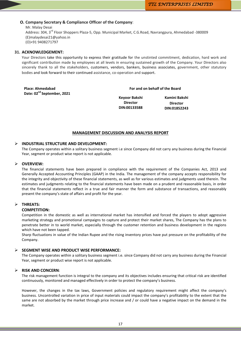# **O. Company Secretary & Compliance Officer of the Company**:

Mr. Malay Desai Address: 304, 3rd Floor Shoppers Plaza-5, Opp. Municipal Market, C.G.Road, Navrangpura, Ahmedabad -380009 (E)malaydesai21@yahoo.in (O)+91 9408271797

# **31. ACKNOWLEDGEMENT:**

Your Directors take this opportunity to express their gratitude for the unstinted commitment, dedication, hard work and significant contribution made by employees at all levels in ensuring sustained growth of the Company. Your Directors also sincerely thank to all the stakeholders, customers, vendors, bankers, business associates, government, other statutory bodies and look forward to their continued assistance, co-operation and support.

**Place: Ahmedabad Date: 02nd September, 2021** **For and on behalf of the Board**

**Keyoor Bakshi Director DIN:00133588**

**Kamini Bakshi Director DIN:01852243**

# **MANAGEMENT DISCUSSION AND ANALYSIS REPORT**

# **INDUSTRIAL STRUCTURE AND DEVELOPMENT:**

The Company operates within a solitary business segment i.e since Company did not carry any business during the Financial Year, segment or product wise report is not applicable.

# **OVERVIEW:**

The financial statements have been prepared in compliance with the requirement of the Companies Act, 2013 and Generally Accepted Accounting Principles (GAAP) in the India. The management of the company accepts responsibility for the integrity and objectivity of these financial statements, as well as for various estimates and judgments used therein. The estimates and judgments relating to the financial statements have been made on a prudent and reasonable basis, in order that the financial statements reflect in a true and fair manner the form and substance of transactions, and reasonably present the company's state of affairs and profit for the year.

# **THREATS:**

# **COMPETITION:**

Competition in the domestic as well as international market has intensified and forced the players to adopt aggressive marketing strategy and promotional campaigns to capture and protect their market shares, The Company has the plans to penetrate better in to world market, especially through the customer retention and business development in the regions which have not been tapped.

Sharp fluctuations in value of the Indian Rupee and the rising inventory prices have put pressure on the profitability of the Company.

# **SEGMENT WISE AND PRODUCT WISE PERFORMANCE:**

The Company operates within a solitary business segment i.e. since Company did not carry any business during the Financial Year, segment or product wise report is not applicable.

# **RISK AND CONCERN**:

The risk management function is integral to the company and its objectives includes ensuring that critical risk are identified continuously, monitored and managed effectively in order to protect the company's business.

However, the changes in the tax laws, Government policies and regulatory requirement might affect the company's business. Uncontrolled variation in price of input materials could impact the company's profitability to the extent that the same are not absorbed by the market through price increase and / or could have a negative impact on the demand in the market.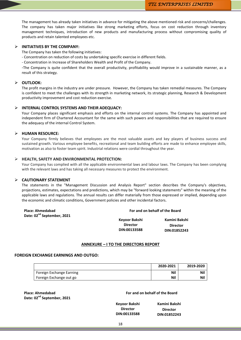The management has already taken initiatives in advance for mitigating the above mentioned risk and concerns/challenges. The company has taken major initiatives like strong marketing efforts, focus on cost reduction through inventory management techniques, introduction of new products and manufacturing process without compromising quality of products and retain talented employees etc.

# **INITIATIVES BY THE COMPANY:**

The Company has taken the following initiatives:

- Concentration on reduction of costs by undertaking specific exercise in different fields.
- Concentration in Increase of Shareholders Wealth and Profit of the Company.

-The Company is quite confident that the overall productivity, profitability would improve in a sustainable manner, as a result of this strategy.

# **OUTLOOK:**

The profit margins in the industry are under pressure. However, the Company has taken remedial measures. The Company is confident to meet the challenges with its strength in marketing network, its strategic planning, Research & Development productivity improvement and cost reduction exercise.

### **INTERNAL CONTROL SYSTEMS AND THEIR ADEQUACY:**

Your Company places significant emphasis and efforts on the internal control systems. The Company has appointed and independent firm of Chartered Accountant for the same with such powers and responsibilities that are required to ensure the adequacy of the internal Control System.

#### **HUMAN RESOURCE:**

Your Company firmly believes that employees are the most valuable assets and key players of business success and sustained growth. Various employee benefits, recreational and team building efforts are made to enhance employee skills, motivation as also to foster team spirit. Industrial relations were cordial throughout the year.

#### **HEALTH, SAFETY AND ENVIRONMENTAL PROTECTION:**

Your Company has complied with all the applicable environmental laws and labour laws. The Company has been complying with the relevant laws and has taking all necessary measures to protect the environment.

# **CAUTIONARY STATEMENT**

The statements in the "Management Discussion and Analysis Report" section describes the Company's objectives, projections, estimates, expectations and predictions, which may be "forward looking statements" within the meaning of the applicable laws and regulations. The annual results can differ materially from those expressed or implied, depending upon the economic and climatic conditions, Government policies and other incidental factors.

| Place: Ahmedabad                       | For and on behalf of the Board |               |  |  |
|----------------------------------------|--------------------------------|---------------|--|--|
| Date: 02 <sup>nd</sup> September, 2021 | Keyoor Bakshi                  | Kamini Bakshi |  |  |
|                                        | <b>Director</b>                | Director      |  |  |

**ANNEXURE – I TO THE DIRECTORS REPORT**

**DIN:00133588**

#### **FOREIGN EXCHANGE EARNINGS AND OUTGO:**

|                          | 2020-2021 | 2019-2020  |
|--------------------------|-----------|------------|
| Foreign Exchange Earning | Nil       | Nil        |
| Foreign Exchange out go  | Nil       | <b>Nil</b> |

**Place: Ahmedabad Date: 02nd September, 2021** **For and on behalf of the Board For and on behalf of the Board**

**Keyoor Bakshi Director DIN:00133588**

**Kamini Bakshi Director DIN:01852243**

**DIN:01852243**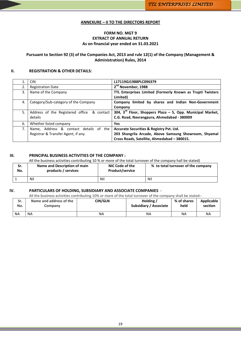# **ANNEXURE – II TO THE DIRECTORS REPORT**

# **FORM NO. MGT 9 EXTRACT OF ANNUAL RETURN As on financial year ended on 31.03.2021**

# **Pursuant to Section 92 (3) of the Companies Act, 2013 and rule 12(1) of the Company (Management & Administration) Rules, 2014**

# **II. REGISTRATION & OTHER DETAILS:**

| 1. | <b>CIN</b>                                                                    | L17119GJ1988PLC096379                                                                                                                                       |
|----|-------------------------------------------------------------------------------|-------------------------------------------------------------------------------------------------------------------------------------------------------------|
| 2. | <b>Registration Date</b>                                                      | 2 <sup>nd</sup> November, 1988                                                                                                                              |
| 3. | Name of the Company                                                           | TTL Enterprises Limited (Formerly Known as Trupti Twisters<br>Limited)                                                                                      |
| 4. | Category/Sub-category of the Company                                          | Company limited by shares and Indian Non-Government<br>Company                                                                                              |
| 5. | Address of the Registered office<br>& contact<br>details                      | 304, $3^{rd}$ Floor, Shoppers Plaza - 5, Opp. Municipal Market,<br>C.G. Road, Navrangpura, Ahmedabad - 380009                                               |
| 6. | Whether listed company                                                        | Yes.                                                                                                                                                        |
| 7. | Name, Address & contact details of the<br>Registrar & Transfer Agent, if any. | <b>Accurate Securities &amp; Registry Pvt. Ltd.</b><br>203 Shangrila Arcade, Above Samsung Showroom, Shyamal<br>Cross Roads, Satellite, Ahmedabad - 380015. |

# **III. PRINCIPAL BUSINESS ACTIVITIES OF THE COMPANY :**

All the business activities contributing 10 % or more of the total turnover of the company hall be stated)

| Sr. | Name and Description of main | NIC Code of the        | % to total turnover of the company |
|-----|------------------------------|------------------------|------------------------------------|
| No. | products / services          | <b>Product/service</b> |                                    |
|     | Nil                          | Nil                    | Nil                                |

# **IV. PARTICULARS OF HOLDING, SUBSIDIARY AND ASSOCIATE COMPANIES** -

All the business activities contributing 10% or more of the total turnover of the company shall be stated:-

| Sr.<br>No. | Name and address of the<br>Company | CIN/GLN | Holding /<br><b>Subsidiary / Associate</b> | % of shares<br>held | Applicable<br>section |
|------------|------------------------------------|---------|--------------------------------------------|---------------------|-----------------------|
| <b>NA</b>  | <b>NA</b>                          | ΝA      | ΝA                                         | NA                  | <b>NA</b>             |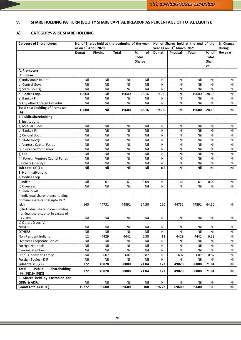# **V. SHARE HOLDING PATTERN (EQUITY SHARE CAPITAL BREAKUP AS PERCENTAGE OF TOTAL EQUITY):**

# **A) CATEGORY-WISE SHARE HOLDING**

| <b>Category of Shareholders</b>                | No. of Shares held at the beginning of the year |                                   |       | No. of Shares held at the end of the     |              |                             |              | % Change<br>during                 |          |
|------------------------------------------------|-------------------------------------------------|-----------------------------------|-------|------------------------------------------|--------------|-----------------------------|--------------|------------------------------------|----------|
|                                                |                                                 | as on 1 <sup>st</sup> April, 2020 |       |                                          |              | year as on 31st March, 2021 |              |                                    |          |
|                                                | <b>Demat</b>                                    | <b>Physical</b>                   | Total | of<br>%<br><b>Total</b><br><b>Shares</b> | <b>Demat</b> | <b>Physical</b>             | <b>Total</b> | % of<br>Total<br><b>Shar</b><br>es | the year |
| A. Promoters                                   |                                                 |                                   |       |                                          |              |                             |              |                                    |          |
| $(1)$ Indian                                   |                                                 |                                   |       |                                          |              |                             |              |                                    |          |
| a) Individual/HUF **                           | Nil                                             | Nil                               | Nil   | Nil                                      | Nil          | Nil                         | Nil          | Nil                                | Nil      |
| b) Central Govt                                | Nil                                             | Nil                               | Nil   | Nil                                      | Nil          | Nil                         | Nil          | Nil                                | Nil      |
| c) State Govt(s)                               | Nil                                             | Nil                               | Nil   | Nil                                      | Nil          | Nil                         | Nil          | Nil                                | Nil      |
| d) Bodies Corp.                                | 19600                                           | Nil                               | 19600 | 28.16                                    | 19600        | Nil                         | 19600        | 28.16                              | Nil      |
| e) Banks / FI                                  | Nil                                             | Nil                               | Nil   | Nil                                      | Nil          | Nil                         | Nil          | Nil                                | Nil      |
| f) Any other Foreign Individual                | Nil                                             | Nil                               | Nil   | Nil                                      | Nil          | Nil                         | Nil          | Nil                                | Nil      |
| <b>Total shareholding of Promoter</b>          |                                                 |                                   |       |                                          |              |                             |              |                                    |          |
| (A)                                            | 19600                                           | Nil                               | 19600 | 28.16                                    | 19600        | Nil                         | 19600        | 28.16                              | Nil      |
| <b>B. Public Shareholding</b>                  |                                                 |                                   |       |                                          |              |                             |              |                                    |          |
| 1. Institutions                                |                                                 |                                   |       |                                          |              |                             |              |                                    |          |
| a) Mutual Funds                                | Nil                                             | Nil                               | Nil   | Nil                                      | Nil          | Nil                         | Nil          | Nil                                | Nil      |
| b) Banks / FI                                  | Nil                                             | Nil                               | Nil   | Nil                                      | Nil          | Nil                         | Nil          | Nil                                | Nil      |
| c) Central Govt                                | Nil                                             | Nil                               | Nil   | Nil                                      | Nil          | Nil                         | Nil          | Nil                                | Nil      |
| d) State Govt(s)                               | Nil                                             | Nil                               | Nil   | Nil                                      | Nil          | Nil                         | Nil          | Nil                                | Nil      |
| e) Venture Capital Funds                       | Nil                                             | Nil                               | Nil   | Nil                                      | Nil          | Nil                         | Nil          | Nil                                | Nil      |
| f) Insurance Companies                         | Nil                                             | Nil                               | Nil   | Nil                                      | Nil          | Nil                         | Nil          | Nil                                | Nil      |
| g) FIIs                                        | Nil                                             | Nil                               | Nil   | Nil                                      | Nil          | Nil                         | Nil          | Nil                                | Nil      |
| h) Foreign Venture Capital Funds               | Nil                                             | Nil                               | Nil   | Nil                                      | Nil          | Nil                         | Nil          | Nil                                | Nil      |
| i) Others (specify)                            | Nil                                             | Nil                               | Nil   | Nil                                      | Nil          | Nil                         | Nil          | Nil                                | Nil      |
| Sub-total $(B)(1)$ :-                          | Nil                                             | Nil                               | Nil   | Nil                                      | Nil          | Nil                         | Nil          | Nil                                | Nil      |
| 2. Non-Institutions                            |                                                 |                                   |       |                                          |              |                             |              |                                    |          |
| a) Bodies Corp.                                |                                                 |                                   |       |                                          |              |                             |              |                                    |          |
| i) Indian                                      | Nil                                             | 61                                | 61    | 0.09                                     | Nil          | 61                          | 61           | 0.09                               | Nil      |
| ii) Overseas                                   | Nil                                             | Nil                               | Nil   | Nil                                      | Nil          | Nil                         | Nil          | Nil                                | Nil      |
| b) Individuals                                 |                                                 |                                   |       |                                          |              |                             |              |                                    |          |
| i) Individual shareholders holding             |                                                 |                                   |       |                                          |              |                             |              |                                    |          |
| nominal share capital upto Rs.2                |                                                 |                                   |       |                                          |              |                             |              |                                    |          |
| lakh                                           | 160                                             | 44731                             | 44891 | 64.50                                    | 160          | 44731                       | 44891        | 64.50                              | Nil      |
| ii) Individual shareholders holding            |                                                 |                                   |       |                                          |              |                             |              |                                    |          |
| nominal share capital in excess of<br>Rs 2lakh | Nil                                             | Nil                               | Nil   | Nil                                      | Nil          | Nil                         | Nil          | Nil                                | Nil      |
| c) Others (specify)                            |                                                 |                                   |       |                                          |              |                             |              |                                    |          |
| NRI/OCB                                        | Nil                                             | Nil                               | Nil   | Nil                                      | Nil          | Nil                         | Nil          | Nil                                | Nil      |
| <b>OTHERS</b>                                  | Nil                                             | Nil                               | Nil   | Nil                                      | Nil          | Nil                         | Nil          | Nil                                | Nil      |
| Non Resident Indians                           | 12                                              | 4429                              | 4441  | 6.38                                     | 12           | 4429                        | 4441         | 6.38                               | Nil      |
| <b>Overseas Corporate Bodies</b>               | Nil                                             | Nil                               | Nil   | Nil                                      | Nil          | Nil                         | Nil          | Nil                                | Nil      |
| <b>Foreign Nationals</b>                       | Nil                                             | Nil                               | Nil   | Nil                                      | Nil          | Nil                         | Nil          | Nil                                | Nil      |
| <b>Clearing Members</b>                        | Nil                                             | Nil                               | Nil   | Nil                                      | Nil          | Nil                         | Nil          | Nil                                | Nil      |
| Hindu Undivided Family                         | Nil                                             | 607                               | 607   | 0.87                                     | Nil          | 607                         | 607          | 0.87                               | Nil      |
| Foreign Bodies - D R                           | Nil                                             | Nil                               | Nil   | Nil                                      | Nil          | Nil                         | Nil          | Nil                                | Nil      |
| Sub-total $(B)(2)$ :-                          | 172                                             | 49828                             | 50000 | 71.84                                    | 172          | 49828                       | 50000        | 71.84                              | Nil      |
| <b>Public</b><br>Total<br>Shareholding         |                                                 |                                   |       |                                          |              |                             |              |                                    |          |
| $(B)=(B)(1)+(B)(2)$                            | 172                                             | 49828                             | 50000 | 71.84                                    | 172          | 49828                       | 50000        | 71.84                              | Nil      |
| C. Shares held by Custodian for                |                                                 |                                   |       |                                          |              |                             |              |                                    |          |
| <b>GDRs &amp; ADRs</b>                         | Nil                                             | Nil                               | Nil   | Nil                                      | Nil          | Nil                         | Nil          | Nil                                | Nil      |
| Grand Total (A+B+C)                            | 19772                                           | 69600                             | 69600 | 100                                      | 19772        | 69600                       | 69600        | 100                                | Nil      |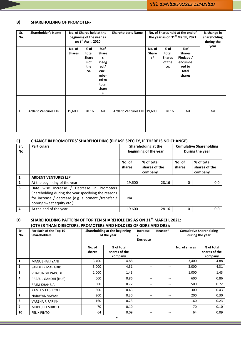# **B) SHAREHOLDING OF PROMOTER-**

| Sr.<br>No. | <b>Shareholder's Name</b>  | No. of Shares held at the<br>beginning of the year as<br>on 1st April, 2020 |                                              | <b>Shareholder's Name</b>                                                          | No. of Shares held at the end of<br>the year as on 31 <sup>st</sup> March, 2021 |                                 |                                                 | % change in<br>shareholding<br>during the<br>year                         |     |
|------------|----------------------------|-----------------------------------------------------------------------------|----------------------------------------------|------------------------------------------------------------------------------------|---------------------------------------------------------------------------------|---------------------------------|-------------------------------------------------|---------------------------------------------------------------------------|-----|
|            |                            | No. of<br><b>Shares</b>                                                     | % of<br>total<br>Share<br>s of<br>the<br>co. | %of<br>Share<br>s<br>Pledg<br>ed /<br>encu<br>mber<br>ed to<br>total<br>share<br>s |                                                                                 | No. of<br><b>Share</b><br>$s^*$ | % of<br>total<br><b>Shares</b><br>of the<br>CO. | %of<br><b>Shares</b><br>Pledged /<br>encumbe<br>red to<br>total<br>shares |     |
| 1          | <b>Ardent Ventures LLP</b> | 19,600                                                                      | 28.16                                        | Nil                                                                                | Ardent Ventures LLP   19,600                                                    |                                 | 28.16                                           | Nil                                                                       | Nil |

# **C) CHANGE IN PROMOTERS' SHAREHOLDING (PLEASE SPECIFY, IF THERE IS NO CHANGE)**

| Sr.<br>No.   | <b>Particulars</b>                                                                                                                                                                     | Shareholding at the<br>beginning of the year |                                        | <b>Cumulative Shareholding</b><br>During the year |                                        |
|--------------|----------------------------------------------------------------------------------------------------------------------------------------------------------------------------------------|----------------------------------------------|----------------------------------------|---------------------------------------------------|----------------------------------------|
|              |                                                                                                                                                                                        | No. of<br>shares                             | % of total<br>shares of the<br>company | No. of<br>shares                                  | % of total<br>shares of the<br>company |
| 1            | <b>ARDENT VENTURES LLP</b>                                                                                                                                                             |                                              |                                        |                                                   |                                        |
| $\mathbf{2}$ | At the beginning of the year                                                                                                                                                           | 19,600                                       | 28.16                                  | 0                                                 | 0.0                                    |
| 3            | Date wise Increase / Decrease in Promoters<br>Shareholding during the year specifying the reasons<br>for increase / decrease (e.g. allotment /transfer /<br>bonus/ sweat equity etc.): | NA                                           |                                        |                                                   |                                        |
| 4            | At the end of the year                                                                                                                                                                 | 19,600                                       | 28.16                                  | 0                                                 | 0.0                                    |

# **D) SHAREHOLDING PATTERN OF TOP TEN SHAREHOLDERS AS ON 31ST MARCH, 2021: (OTHER THAN DIRECTORS, PROMOTERS AND HOLDERS OF GDRS AND DRS):**

| Sr.<br>No.     | For Each of the Top 10<br><b>Shareholders</b> | Shareholding at the beginning<br>of the year |                                        | Increase<br><b>Decrease</b> | Reason* | <b>Cumulative Shareholding</b><br>during the year |                                        |
|----------------|-----------------------------------------------|----------------------------------------------|----------------------------------------|-----------------------------|---------|---------------------------------------------------|----------------------------------------|
|                |                                               | No. of<br>shares                             | % of total<br>shares of the<br>company |                             |         | No. of shares                                     | % of total<br>shares of the<br>company |
| $\mathbf{1}$   | <b>MANUBHAI JIYANI</b>                        | 3,400                                        | 4.88                                   | $\overline{\phantom{a}}$    | $- -$   | 3,400                                             | 4.88                                   |
| $\overline{2}$ | SANDEEP MAHADIK                               | 3,000                                        | 4.31                                   | $\overline{\phantom{a}}$    | $- -$   | 3,000                                             | 4.31                                   |
| 3              | <b>VIJAYSINGH PADODE</b>                      | 1,000                                        | 1.43                                   |                             |         | 1,000                                             | 1.43                                   |
| 4              | PRAFUL GANDHI (HUF)                           | 600                                          | 0.86                                   | --                          | $-$     | 600                                               | 0.86                                   |
| 5              | RAJNI KHANEJA                                 | 500                                          | 0.72                                   | $\overline{\phantom{a}}$    | $- -$   | 500                                               | 0.72                                   |
| 6              | <b>KAMLESH J SHROFF</b>                       | 300                                          | 0.43                                   | --                          | $-$     | 300                                               | 0.43                                   |
| $\overline{ }$ | <b>NARAYAN VSWANI</b>                         | 200                                          | 0.30                                   | $\overline{\phantom{a}}$    | --      | 200                                               | 0.30                                   |
| 8              | <b>VARSHA R PARIKH</b>                        | 160                                          | 0.23                                   | $- -$                       | --      | 160                                               | 0.23                                   |
| 9              | <b>MUKESH T SHROFF</b>                        | 70                                           | 0.10                                   | $\overline{\phantom{a}}$    | $-$     | 70                                                | 0.10                                   |
| 10             | <b>FELIX PINTO</b>                            | 64                                           | 0.09                                   | $- -$                       | $- -$   | 64                                                | 0.09                                   |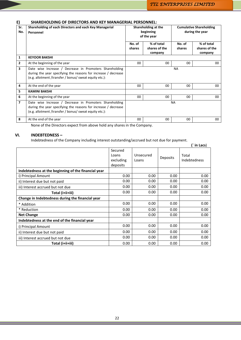#### **E) SHAREHOLDING OF DIRECTORS AND KEY MANAGERIAL PERSONNEL: Sr. No. Shareholding of each Directors and each Key Managerial Personnel Shareholding at the beginning of the year Cumulative Shareholding during the year No. of shares % of total shares of the company No. of shares % of total shares of the company 1 KEYOOR BAKSHI 2** At the beginning of the year 00 00 00 00 **3** Date wise Increase / Decrease in Promoters Shareholding during the year specifying the reasons for increase / decrease (e.g. allotment /transfer / bonus/ sweat equity etc.): NA **4** At the end of the year 00 00 00 00 **5 KAMINI BAKSHI 6** At the beginning of the year 00 00 00 00 **7** Date wise Increase / Decrease in Promoters Shareholding during the year specifying the reasons for increase / decrease (e.g. allotment /transfer / bonus/ sweat equity etc.): NA **8** At the end of the year 00 00 00 00

None of the Directors expect from above hold any shares in the Company.

# **VI. INDEBTEDNESS –**

Indebtedness of the Company including interest outstanding/accrued but not due for payment.

|                                                     |                                           |                    |          | $($ in Lacs)          |
|-----------------------------------------------------|-------------------------------------------|--------------------|----------|-----------------------|
|                                                     | Secured<br>Loans<br>excluding<br>deposits | Unsecured<br>Loans | Deposits | Total<br>Indebtedness |
| Indebtedness at the beginning of the financial year |                                           |                    |          |                       |
| i) Principal Amount                                 | 0.00                                      | 0.00               | 0.00     | 0.00                  |
| ii) Interest due but not paid                       | 0.00                                      | 0.00               | 0.00     | 0.00                  |
| iii) Interest accrued but not due                   | 0.00                                      | 0.00               | 0.00     | 0.00                  |
| Total (i+ii+iii)                                    | 0.00                                      | 0.00               | 0.00     | 0.00                  |
| Change in Indebtedness during the financial year    |                                           |                    |          |                       |
| * Addition                                          | 0.00                                      | 0.00               | 0.00     | 0.00                  |
| * Reduction                                         | 0.00                                      | 0.00               | 0.00     | 0.00                  |
| <b>Net Change</b>                                   | 0.00                                      | 0.00               | 0.00     | 0.00                  |
| Indebtedness at the end of the financial year       |                                           |                    |          |                       |
| i) Principal Amount                                 | 0.00                                      | 0.00               | 0.00     | 0.00                  |
| ii) Interest due but not paid                       | 0.00                                      | 0.00               | 0.00     | 0.00                  |
| iii) Interest accrued but not due                   | 0.00                                      | 0.00               | 0.00     | 0.00                  |
| Total (i+ii+iii)                                    | 0.00                                      | 0.00               | 0.00     | 0.00                  |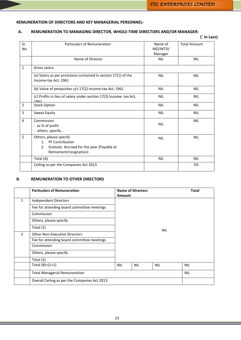# **REMUNERATION OF DIRECTORS AND KEY MANAGERIAL PERSONNEL-**

# **A. REMUNERATION TO MANAGING DIRECTOR, WHOLE-TIME DIRECTORS AND/OR MANAGER:**

|                |                                                                                                                                           |                               | (` in Lacs)         |
|----------------|-------------------------------------------------------------------------------------------------------------------------------------------|-------------------------------|---------------------|
| Sr.<br>No.     | Particulars of Remuneration                                                                                                               | Name of<br>MD/WTD/<br>Manager | <b>Total Amount</b> |
|                | Name of Director                                                                                                                          | <b>NIL</b>                    | <b>NIL</b>          |
| $\mathbf{1}$   | Gross salary                                                                                                                              |                               |                     |
|                | (a) Salary as per provisions contained in section 17(1) of the<br>Income-tax Act, 1961                                                    | <b>NIL</b>                    | <b>NIL</b>          |
|                | (b) Value of perquisites u/s 17(2) Income-tax Act, 1961                                                                                   | <b>NIL</b>                    | <b>NIL</b>          |
|                | (c) Profits in lieu of salary under section 17(3) Income-tax Act,<br>1961                                                                 | <b>NIL</b>                    | <b>NIL</b>          |
| $\overline{2}$ | <b>Stock Option</b>                                                                                                                       | <b>NIL</b>                    | <b>NIL</b>          |
| 3              | Sweat Equity                                                                                                                              | <b>NIL</b>                    | <b>NIL</b>          |
| $\overline{4}$ | Commission<br>- as % of profit<br>- others, specify                                                                                       | <b>NIL</b>                    | <b>NIL</b>          |
| 5              | Others, please specify<br>PF Contribution<br>1 <sup>1</sup><br>Gratuity Accrued for the year (Payable at<br>2.<br>Retirement/resignation) | <b>NIL</b>                    | <b>NIL</b>          |
|                | Total (A)                                                                                                                                 | <b>NIL</b>                    | <b>NIL</b>          |
|                | Ceiling as per the Companies Act 2013                                                                                                     |                               | 5%                  |

# **B. REMUNERATION TO OTHER DIRECTORS**

|                | <b>Particulars of Remuneration</b>            | Amount     | <b>Name of Directors</b> | <b>Total</b> |            |  |
|----------------|-----------------------------------------------|------------|--------------------------|--------------|------------|--|
| 1              | Independent Directors                         |            |                          |              |            |  |
|                | Fee for attending board committee meetings    |            |                          |              |            |  |
|                | Commission                                    |            |                          |              |            |  |
|                | Others, please specify                        |            |                          |              |            |  |
|                | Total (1)                                     | <b>NIL</b> |                          |              |            |  |
| $\overline{2}$ | <b>Other Non-Executive Directors</b>          |            |                          |              |            |  |
|                | Fee for attending board committee meetings    |            |                          |              |            |  |
|                | Commission                                    |            |                          |              |            |  |
|                | Others, please specify                        |            |                          |              |            |  |
|                | Total (2)                                     |            |                          |              |            |  |
|                | Total $(B)=(1+2)$                             | <b>NIL</b> | <b>NIL</b>               | <b>NIL</b>   | <b>NIL</b> |  |
|                | <b>Total Managerial Remuneration</b>          |            |                          |              | <b>NIL</b> |  |
|                | Overall Ceiling as per the Companies Act 2013 |            |                          |              |            |  |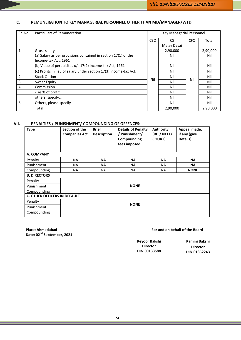# **C. REMUNERATION TO KEY MANAGERIAL PERSONNEL OTHER THAN MD/MANAGER/WTD**

| Sr. No.        | <b>Particulars of Remuneration</b>                                                     |            | Key Managerial Personnel |            |          |
|----------------|----------------------------------------------------------------------------------------|------------|--------------------------|------------|----------|
|                |                                                                                        | <b>CEO</b> | CS.                      | <b>CFO</b> | Total    |
|                |                                                                                        |            | Malay Desai              |            |          |
| $\mathbf{1}$   | Gross salary                                                                           |            | 2,90,000                 |            | 2,90,000 |
|                | (a) Salary as per provisions contained in section 17(1) of the<br>Income-tax Act, 1961 |            | Nil                      |            | Nil      |
|                | (b) Value of perquisites u/s 17(2) Income-tax Act, 1961                                |            | Nil                      |            | Nil      |
|                | (c) Profits in lieu of salary under section 17(3) Income-tax Act,                      |            | Nil                      |            | Nil      |
| $\overline{2}$ | <b>Stock Option</b>                                                                    | Nil        | Nil                      | Nil        | Nil      |
| 3              | Sweat Equity                                                                           |            | Nil                      |            | Nil      |
| 4              | Commission                                                                             |            | Nil                      |            | Nil      |
|                | - as % of profit                                                                       |            | Nil                      |            | Nil      |
|                | others, specify                                                                        |            | Nil                      |            | Nil      |
| 5              | Others, please specify                                                                 |            | Nil                      |            | Nil      |
|                | Total                                                                                  |            | 2,90,000                 |            | 2,90,000 |

# **VII. PENALTIES / PUNISHMENT/ COMPOUNDING OF OFFENCES:**

| <b>Type</b>         | Section of the<br><b>Companies Act</b> | <b>Brief</b><br><b>Description</b> | <b>Details of Penalty</b><br>/ Punishment/<br>Compounding<br>fees imposed | <b>Authority</b><br>[RD / NCLT/<br><b>COURT]</b> | Appeal made,<br>if any (give<br>Details) |
|---------------------|----------------------------------------|------------------------------------|---------------------------------------------------------------------------|--------------------------------------------------|------------------------------------------|
| A. COMPANY          |                                        |                                    |                                                                           |                                                  |                                          |
| Penalty             | <b>NA</b>                              | <b>NA</b>                          | <b>NA</b>                                                                 | <b>NA</b>                                        | <b>NA</b>                                |
| Punishment          | <b>NA</b>                              | <b>NA</b>                          | <b>NA</b>                                                                 | NA.                                              | <b>NA</b>                                |
| Compounding         | <b>NA</b>                              | <b>NA</b>                          | <b>NA</b>                                                                 | <b>NA</b>                                        | <b>NONE</b>                              |
| <b>B. DIRECTORS</b> |                                        |                                    |                                                                           |                                                  |                                          |
| Penalty             |                                        |                                    |                                                                           |                                                  |                                          |
| Punishment          |                                        |                                    | <b>NONE</b>                                                               |                                                  |                                          |
| Compounding         |                                        |                                    |                                                                           |                                                  |                                          |
|                     | <b>C. OTHER OFFICERS IN DEFAULT</b>    |                                    |                                                                           |                                                  |                                          |
| Penalty             |                                        |                                    | <b>NONE</b>                                                               |                                                  |                                          |
| Punishment          |                                        |                                    |                                                                           |                                                  |                                          |
| Compounding         |                                        |                                    |                                                                           |                                                  |                                          |

**Place: Ahmedabad Date: 02nd September, 2021** **For and on behalf of the Board For and on behalf of the Board**

**Keyoor Bakshi Director DIN:00133588**

**Kamini Bakshi Director DIN:01852243**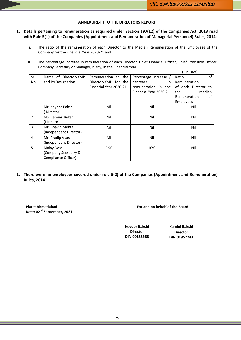# **ANNEXURE-III TO THE DIRECTORS REPORT**

# **1. Details pertaining to remuneration as required under Section 197(12) of the Companies Act, 2013 read with Rule 5(1) of the Companies (Appointment and Remuneration of Managerial Personnel) Rules, 2014:**

- i. The ratio of the remuneration of each Director to the Median Remuneration of the Employees of the Company for the Financial Year 2020-21 and
- ii. The percentage increase in remuneration of each Director, Chief Financial Officer, Chief Executive Officer, Company Secretary or Manager, if any, in the Financial Year

|                |                        |                        |                        | (` In Lacs)         |
|----------------|------------------------|------------------------|------------------------|---------------------|
| Sr.            | Name of Director/KMP   | Remuneration to the    | Percentage increase /  | of<br>Ratio         |
| No.            | and its Designation    | Director/KMP for the   | decrease<br>in         | Remuneration        |
|                |                        | Financial Year 2020-21 | remuneration in the    | of each Director to |
|                |                        |                        | Financial Year 2020-21 | Median<br>the       |
|                |                        |                        |                        | Remuneration<br>οf  |
|                |                        |                        |                        | <b>Employees</b>    |
| $\mathbf{1}$   | Mr. Keyoor Bakshi      | Nil                    | Nil                    | Nil                 |
|                | Director)              |                        |                        |                     |
| 2              | Ms. Kamini Bakshi      | Nil                    | Nil                    | Nil                 |
|                | (Director)             |                        |                        |                     |
| 3              | Mr. Bhavin Mehta       | Nil                    | Nil                    | Nil                 |
|                | (Independent Director) |                        |                        |                     |
| $\overline{4}$ | Mr. Pradip Vyas        | Nil                    | Nil                    | Nil                 |
|                | (Independent Director) |                        |                        |                     |
| 5              | Malay Desai            | 2.90                   | 10%                    | Nil                 |
|                | (Company Secretary &   |                        |                        |                     |
|                | Compliance Officer)    |                        |                        |                     |

**2. There were no employees covered under rule 5(2) of the Companies (Appointment and Remuneration) Rules, 2014**

**Place: Ahmedabad Date: 02nd September, 2021** **For and on behalf of the Board For and on behalf of the Board**

**Keyoor Bakshi Director DIN:00133588**

**Kamini Bakshi Director DIN:01852243**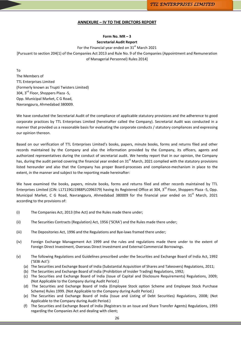# **ANNEXURE – IV TO THE DIRCTORS REPORT**

# **Form No. MR – 3 Secretarial Audit Report**

For the Financial year ended on  $31<sup>st</sup>$  March 2021

[Pursuant to section 204(1) of the Companies Act 2013 and Rule No. 9 of the Companies (Appointment and Remuneration of Managerial Personnel) Rules 2014]

To

The Members of TTL Enterprises Limited (Formerly known as Trupti Twisters Limited) 304, 3rd Floor, Shoppers Plaza -5, Opp. Municipal Market, C G Road, Navrangpura, Ahmedabad 380009.

We have conducted the Secretarial Audit of the compliance of applicable statutory provisions and the adherence to good corporate practices by TTL Enterprises Limited (hereinafter called the Company). Secretarial Audit was conducted in a manner that provided us a reasonable basis for evaluating the corporate conducts / statutory compliances and expressing our opinion thereon.

Based on our verification of TTL Enterprises Limited's books, papers, minute books, forms and returns filed and other records maintained by the Company and also the information provided by the Company, its officers, agents and authorized representatives during the conduct of secretarial audit. We hereby report that in our opinion, the Company has, during the audit period covering the financial year ended on  $31<sup>st</sup>$  March, 2021 complied with the statutory provisions listed hereunder and also that the Company has proper Board-processes and compliance-mechanism in place to the extent, in the manner and subject to the reporting made hereinafter:

We have examined the books, papers, minute books, forms and returns filed and other records maintained by TTL Enterprises Limited (CIN: L17119GJ1988PLC096379) having its Registered Office at 304, 3<sup>rd</sup> Floor, Shoppers Plaza -5, Opp. Municipal Market, C G Road, Navrangpura, Ahmedabad 380009 for the financial year ended on 31<sup>st</sup> March, 2021 according to the provisions of:

- (i) The Companies Act, 2013 (the Act) and the Rules made there under;
- (ii) The Securities Contracts (Regulation) Act, 1956 ('SCRA') and the Rules made there under;
- (iii) The Depositories Act, 1996 and the Regulations and Bye-laws framed there under;
- (iv) Foreign Exchange Management Act 1999 and the rules and regulations made there under to the extent of Foreign Direct Investment, Overseas Direct Investment and External Commercial Borrowings.
- (v) The following Regulations and Guidelines prescribed under the Securities and Exchange Board of India Act, 1992 ('SEBI Act'):
	- (a) The Securities and Exchange Board of India (Substantial Acquisition of Shares and Takeovers) Regulations, 2011;
	- (b) The Securities and Exchange Board of India (Prohibition of Insider Trading) Regulations, 1992;
	- (c) The Securities and Exchange Board of India (Issue of Capital and Disclosure Requirements) Regulations, 2009; (Not Applicable to the Company during Audit Period.)
	- (d) The Securities and Exchange Board of India (Employee Stock option Scheme and Employee Stock Purchase Scheme) Rules 1999. (Not Applicable to the Company during Audit Period.)
	- (e) The Securities and Exchange Board of India (Issue and Listing of Debt Securities) Regulations, 2008; (Not Applicable to the Company during Audit Period.)
	- (f) The Securities and Exchange Board of India (Registrars to an Issue and Share Transfer Agents) Regulations, 1993 regarding the Companies Act and dealing with client;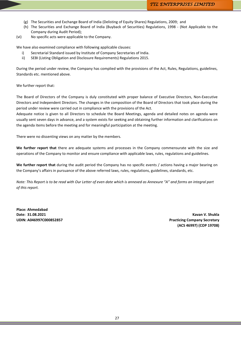- (g) The Securities and Exchange Board of India (Delisting of Equity Shares) Regulations, 2009; and
- (h) The Securities and Exchange Board of India (Buyback of Securities) Regulations, 1998 (Not Applicable to the Company during Audit Period);
- (vi) No specific acts were applicable to the Company.

We have also examined compliance with following applicable clauses:

- i) Secretarial Standard issued by Institute of Company Secretaries of India.
- ii) SEBI (Listing Obligation and Disclosure Requirements) Regulations 2015.

During the period under review, the Company has complied with the provisions of the Act, Rules, Regulations, guidelines, Standards etc. mentioned above.

We further report that:

The Board of Directors of the Company is duly constituted with proper balance of Executive Directors, Non-Executive Directors and Independent Directors. The changes in the composition of the Board of Directors that took place during the period under review were carried out in compliance with the provisions of the Act.

Adequate notice is given to all Directors to schedule the Board Meetings, agenda and detailed notes on agenda were usually sent seven days in advance, and a system exists for seeking and obtaining further information and clarifications on the agenda items before the meeting and for meaningful participation at the meeting.

There were no dissenting views on any matter by the members.

**We further report that** there are adequate systems and processes in the Company commensurate with the size and operations of the Company to monitor and ensure compliance with applicable laws, rules, regulations and guidelines.

**We further report that** during the audit period the Company has no specific events / actions having a major bearing on the Company's affairs in pursuance of the above referred laws, rules, regulations, guidelines, standards, etc.

*Note: This Report is to be read with Our Letter of even date which is annexed as Annexure "A" and forms an integral part of this report.*

**Place: Ahmedabad Date: 31.08.2021 Kavan V. Shukla**

**UDIN: A046997C000852857 Practicing Company Secretary (ACS 46997) (COP 19708)**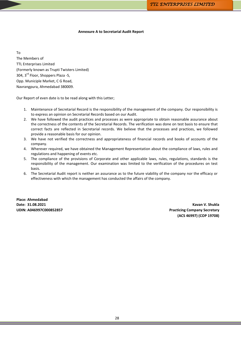#### **Annexure A to Secretarial Audit Report**

To

The Members of TTL Enterprises Limited (Formerly known as Trupti Twisters Limited) 304, 3rd Floor, Shoppers Plaza -5, Opp. Municiple Market, C G Road, Navrangpura, Ahmedabad 380009.

Our Report of even date is to be read along with this Letter;

- 1. Maintenance of Secretarial Record is the responsibility of the management of the company. Our responsibility is to express an opinion on Secretarial Records based on our Audit.
- 2. We have followed the audit practices and processes as were appropriate to obtain reasonable assurance about the correctness of the contents of the Secretarial Records. The verification was done on test basis to ensure that correct facts are reflected in Secretarial records. We believe that the processes and practices, we followed provide a reasonable basis for our opinion.
- 3. We have not verified the correctness and appropriateness of financial records and books of accounts of the company.
- 4. Wherever required, we have obtained the Management Representation about the compliance of laws, rules and regulations and happening of events etc.
- 5. The compliance of the provisions of Corporate and other applicable laws, rules, regulations, standards is the responsibility of the management. Our examination was limited to the verification of the procedures on test basis.
- 6. The Secretarial Audit report is neither an assurance as to the future viability of the company nor the efficacy or effectiveness with which the management has conducted the affairs of the company.

**Place: Ahmedabad Date: 31.08.2021 Kavan V. Shukla**

**UDIN: A046997C000852857 Practicing Company Secretary (ACS 46997) (COP 19708)**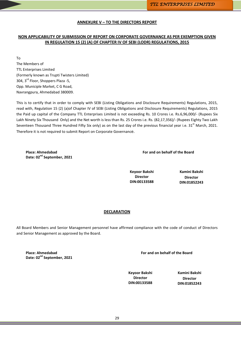# **ANNEXURE V – TO THE DIRECTORS REPORT**

# **NON APPLICABILITY OF SUBMISSION OF REPORT ON CORPORATE GOVERNANCE AS PER EXEMPTION GIVEN IN REGULATION 15 (2) (A) OF CHAPTER IV OF SEBI (LODR) REGULATIONS, 2015**

To The Members of TTL Enterprises Limited (Formerly known as Trupti Twisters Limited) 304, 3rd Floor, Shoppers Plaza -5, Opp. Municiple Market, C G Road, Navrangpura, Ahmedabad 380009.

This is to certify that in order to comply with SEBI (Listing Obligations and Disclosure Requirements) Regulations, 2015, read with, Regulation 15 (2) (a)of Chapter IV of SEBI (Listing Obligations and Disclosure Requirements) Regulations, 2015 the Paid up capital of the Company TTL Enterprises Limited is not exceeding Rs. 10 Crores i.e. Rs.6,96,000/- (Rupees Six Lakh Ninety Six Thousand Only) and the Net worth is less than Rs. 25 Crores i.e. Rs. (82,17,356)/- (Rupees Eighty Two Lakh Seventeen Thousand Three Hundred Fifty Six only) as on the last day of the previous financial year i.e.  $31<sup>st</sup>$  March, 2021. Therefore it is not required to submit Report on Corporate Governance.

**Place: Ahmedabad Date: 02 nd September, 2021** **For and on behalf of the Board**

**Keyoor Bakshi Director DIN:00133588**

**Kamini Bakshi Director DIN:01852243**

# **DECLARATION**

All Board Members and Senior Management personnel have affirmed compliance with the code of conduct of Directors and Senior Management as approved by the Board.

**Place: Ahmedabad Date: 02nd September, 2021** **For and on behalf of the Board**

**Keyoor Bakshi Director DIN:00133588**

**Kamini Bakshi Director DIN:01852243**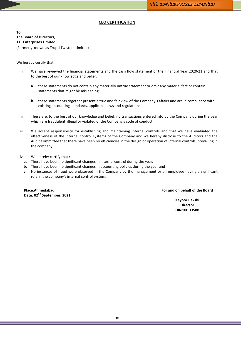# **CEO CERTIFICATION**

# **To, The Board of Directors, TTL Enterprises Limited**

(Formerly known as Trupti Twisters Limited)

### We hereby certify that:

- i. We have reviewed the financial statements and the cash flow statement of the Financial Year 2020-21 and that to the best of our knowledge and belief.
	- **a.** these statements do not contain any materially untrue statement or omit any material fact or contain statements that might be misleading;
	- **b.** these statements together present a true and fair view of the Company's affairs and are in compliance with existing accounting standards, applicable laws and regulations.
- ii. There are, to the best of our knowledge and belief, no transactions entered into by the Company during the year which are fraudulent, illegal or violated of the Company's code of conduct.
- iii. We accept responsibility for establishing and maintaining internal controls and that we have evaluated the effectiveness of the internal control systems of the Company and we hereby disclose to the Auditors and the Audit Committee that there have been no efficiencies in the design or operation of internal controls, prevailing in the company.

# iv. We hereby certify that :

- **a.** There have been no significant changes in internal control during the year.
- **b.** There have been no significant changes in accounting policies during the year and
- **c.** No instances of fraud were observed in the Company by the management or an employee having a significant role in the company's internal control system.

**Place:Ahmedabad Date: 02nd September, 2021**

#### **For and on behalf of the Board**

**Keyoor Bakshi Director DIN:00133588**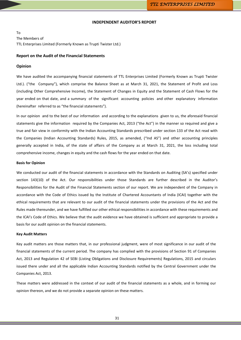#### **INDEPENDENT AUDITOR'S REPORT**

To

The Members of

TTL Enterprises Limited (Formerly Known as Trupti Twister Ltd.)

#### **Report on the Audit of the Financial Statements**

#### **Opinion**

We have audited the accompanying financial statements of TTL Enterprises Limited (Formerly Known as Trupti Twister Ltd.). ("the Company"), which comprise the Balance Sheet as at March 31, 2021, the Statement of Profit and Loss (including Other Comprehensive Income), the Statement of Changes in Equity and the Statement of Cash Flows for the year ended on that date, and a summary of the significant accounting policies and other explanatory information (hereinafter referred to as "the financial statements").

In our opinion and to the best of our information and according to the explanations given to us, the aforesaid financial statements give the information required by the Companies Act, 2013 ("the Act") in the manner so required and give a true and fair view in conformity with the Indian Accounting Standards prescribed under section 133 of the Act read with the Companies (Indian Accounting Standards) Rules, 2015, as amended, ("Ind AS") and other accounting principles generally accepted in India, of the state of affairs of the Company as at March 31, 2021, the loss including total comprehensive income, changes in equity and the cash flows for the year ended on that date.

### **Basis for Opinion**

We conducted our audit of the financial statements in accordance with the Standards on Auditing (SA's) specified under section 143(10) of the Act. Our responsibilities under those Standards are further described in the Auditor's Responsibilities for the Audit of the Financial Statements section of our report. We are independent of the Company in accordance with the Code of Ethics issued by the Institute of Chartered Accountants of India (ICAI) together with the ethical requirements that are relevant to our audit of the financial statements under the provisions of the Act and the Rules made thereunder, and we have fulfilled our other ethical responsibilities in accordance with these requirements and the ICAI's Code of Ethics. We believe that the audit evidence we have obtained is sufficient and appropriate to provide a basis for our audit opinion on the financial statements.

#### **Key Audit Matters**

Key audit matters are those matters that, in our professional judgment, were of most significance in our audit of the financial statements of the current period. The company has complied with the provisions of Section 91 of Companies Act, 2013 and Regulation 42 of SEBI (Listing Obligations and Disclosure Requirements) Regulations, 2015 and circulars issued there under and all the applicable Indian Accounting Standards notified by the Central Government under the Companies Act, 2013.

These matters were addressed in the context of our audit of the financial statements as a whole, and in forming our opinion thereon, and we do not provide a separate opinion on these matters.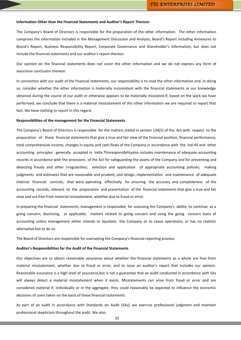#### **Information Other than the Financial Statements and Auditor's Report Thereon**

The Company's Board of Directors is responsible for the preparation of the other information. The other information comprises the information included in the Management Discussion and Analysis, Board's Report including Annexures to Board's Report, Business Responsibility Report, Corporate Governance and Shareholder's Information, but does not include the financial statements and our auditor's report thereon.

Our opinion on the financial statements does not cover the other information and we do not express any form of assurance conclusion thereon.

In connection with our audit of the financial statements, our responsibility is to read the other information and, in doing so, consider whether the other information is materially inconsistent with the financial statements or our knowledge obtained during the course of our audit or otherwise appears to be materially misstated.If, based on the work we have performed, we conclude that there is a material misstatement of this other information we are required to report that fact. We have nothing to report in this regard.

#### **Responsibilities of the management for the Financial Statements**

The Company's Board of Directors is responsible for the matters stated in section 134(5) of the Act with respect to the preparation of these financial statements that give a true and fair view of the financial position, financial performance, total comprehensive income, changes in equity and cash flows of the Company in accordance with the Ind-AS and other accounting principles generally accepted in India.Thisresponsibilityalso includes maintenance of adequate accounting records in accordance with the provisions of the Act for safeguarding the assets of the Company and for preventing and detecting frauds and other irregularities; selection and application of appropriate accounting policies; making judgments and estimates that are reasonable and prudent; and design, implementation and maintenance of adequate internal financial controls, that were operating effectively for ensuring the accuracy and completeness of the accounting records, relevant to the preparation and presentation of the financial statements that give a true and fair view and are free from material misstatement, whether due to fraud or error.

In preparing the financial statements, management is responsible for assessing the Company's ability to continue as a going concern, disclosing, as applicable, matters related to going concern and using the going concern basis of accounting unless management either intends to liquidate the Company or to cease operations, or has no realistic alternative but to do so.

The Board of Directors are responsible for overseeing the Company's financial reporting process.

#### **Auditor's Responsibilities for the Audit of the Financial Statements**

Our objectives are to obtain reasonable assurance about whether the financial statements as a whole are free from material misstatement, whether due to fraud or error, and to issue an auditor's report that includes our opinion. Reasonable assurance is a high level of assurance,but is not a guarantee that an audit conducted in accordance with SAs will always detect a material misstatement when it exists. Misstatements can arise from fraud or error and are considered material if, individually or in the aggregate, they could reasonably be expected to influence the economic decisions of users taken on the basis of these financial statements.

As part of an audit in accordance with Standards on Audit (SAs), we exercise professional judgment and maintain professional skepticism throughout the audit. We also: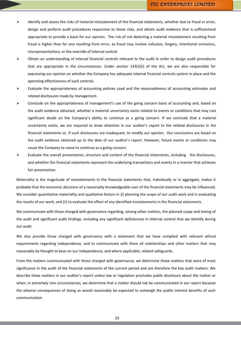- $\triangleright$  Identify and assess the risks of material misstatement of the financial statements, whether due to fraud or error, design and perform audit procedures responsive to those risks, and obtain audit evidence that is sufficientand appropriate to provide a basis for our opinion. The risk of not detecting a material misstatement resulting from fraud is higher than for one resulting from error, as fraud may involve collusion, forgery, intentional omissions, misrepresentations, or the override of internal control.
- $\triangleright$  Obtain an understanding of internal financial controls relevant to the audit in order to design audit procedures that are appropriate in the circumstances. Under section 143(3)(i) of the Act, we are also responsible for expressing our opinion on whether the Company has adequate internal financial controls system in place and the operating effectiveness of such controls.
- $\triangleright$  Evaluate the appropriateness of accounting policies used and the reasonableness of accounting estimates and related disclosures made by management.
- Conclude on the appropriateness of management's use of the going concern basis of accounting and, based on the audit evidence obtained, whether a material uncertainty exists related to events or conditions that may cast significant doubt on the Company's ability to continue as a going concern. If we conclude that a material uncertainty exists, we are required to draw attention in our auditor's report to the related disclosures in the financial statements or, if such disclosures are inadequate, to modify our opinion. Our conclusions are based on the audit evidence obtained up to the date of our auditor's report. However, future events or conditions may cause the Company to cease to continue as a going concern.
- $\triangleright$  Evaluate the overall presentation, structure and content of the financial statements, including the disclosures, and whether the financial statements represent the underlying transactions and events in a manner that achieves fair presentation.

Materiality is the magnitude of misstatements in the financial statements that, individually or in aggregate, makes it probable that the economic decisions of a reasonably knowledgeable user of the financial statements may be influenced. We consider quantitative materiality and qualitative factors in (i) planning the scope of our audit work and in evaluating the results of our work; and (ii) to evaluate the effect of any identified misstatements in the financial statements.

We communicate with those charged with governance regarding, among other matters, the planned scope and timing of the audit and significant audit findings, including any significant deficiencies in internal control that we identify during our audit.

We also provide those charged with governance with a statement that we have complied with relevant ethical requirements regarding independence, and to communicate with them all relationships and other matters that may reasonably be thought to bear on our independence, and where applicable, related safeguards.

From the matters communicated with those charged with governance, we determine those matters that were of most significance in the audit of the financial statements of the current period and are therefore the key audit matters. We describe these matters in our auditor's report unless law or regulation precludes public disclosure about the matter or when, in extremely rare circumstances, we determine that a matter should not be communicated in our report because the adverse consequences of doing so would reasonably be expected to outweigh the public interest benefits of such communication.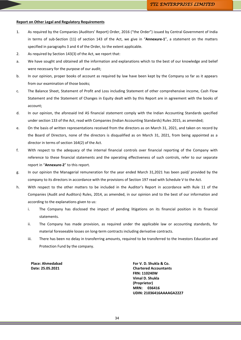#### **Report on Other Legal and Regulatory Requirements**

- 1. As required by the Companies (Auditors' Report) Order, 2016 ("the Order") issued by Central Government of India in terms of sub-Section (11) of section 143 of the Act, we give in "**Annexure-1**", a statement on the matters specified in paragraphs 3 and 4 of the Order, to the extent applicable.
- 2. As required by Section 143(3) of the Act, we report that:
- a. We have sought and obtained all the information and explanations which to the best of our knowledge and belief were necessary for the purpose of our audit;
- b. In our opinion, proper books of account as required by law have been kept by the Company so far as it appears from our examination of those books;
- c. The Balance Sheet, Statement of Profit and Loss including Statement of other comprehensive income, Cash Flow Statement and the Statement of Changes in Equity dealt with by this Report are in agreement with the books of account;
- d. In our opinion, the aforesaid Ind AS financial statement comply with the Indian Accounting Standards specified under section 133 of the Act, read with Companies (Indian Accounting Standards) Rules 2015, as amended;
- e. On the basis of written representations received from the directors as on March 31, 2021, and taken on record by the Board of Directors, none of the directors is disqualified as on March 31, 2021, from being appointed as a director in terms of section 164(2) of the Act.
- f. With respect to the adequacy of the internal financial controls over financial reporting of the Company with reference to these financial statements and the operating effectiveness of such controls, refer to our separate report in "**Annexure-2**" to this report.
- g. In our opinion the Managerial remuneration for the year ended March 31,2021 has been paid/ provided by the company to its directors in accordance with the provisions of Section 197 read with Schedule V to the Act.
- h. With respect to the other matters to be included in the Auditor's Report in accordance with Rule 11 of the Companies (Audit and Auditors) Rules, 2014, as amended, in our opinion and to the best of our information and according to the explanations given to us:
	- i. The Company has disclosed the impact of pending litigations on its financial position in its financial statements.
	- ii. The Company has made provision, as required under the applicable law or accounting standards, for material foreseeable losses on long-term contracts including derivative contracts.
	- iii. There has been no delay in transferring amounts, required to be transferred to the Investors Education and Protection Fund by the company.

**Place: Ahmedabad For V. D. Shukla & Co.**

**Date: 25.05.2021 Chartered Accountants FRN: 110240W Vimal D. Shukla (Proprietor) MRN: 036416 UDIN: 21036416AAAAGA2227**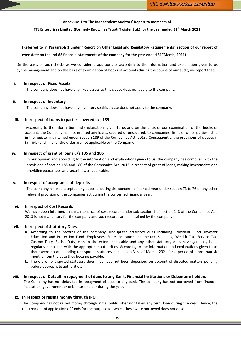#### **Annexure-1 to The Independent Auditors' Report to members of**

#### **TTL Enterprises Limited (Formerly Known as Trupti Twister Ltd.) for the year ended 31st March 2021**

# **(Referred to in Paragraph 1 under "Report on Other Legal and Regulatory Requirements" section of our report of**  even date on the Ind AS financial statements of the company for the year ended 31<sup>st</sup>March, 2021)

On the basis of such checks as we considered appropriate, according to the information and explanation given to us by the management and on the basis of examination of books of accounts during the course of our audit, we report that:

#### **i. In respect of Fixed Assets**

The company does not have any fixed assets so this clause does not apply to the company.

# **ii. In respect of Inventory**

The company does not have any inventory so this clause does not apply to the company.

#### **iii. In respect of Loans to parties covered u/s 189**

According to the information and explanations given to us and on the basis of our examination of the books of account, the Company has not granted any loans, secured or unsecured, to companies, firms or other parties listed in the register maintained under Section 189 of the Companies Act, 2013. Consequently, the provisions of clauses iii (a), iii(b) and iii (c) of the order are not applicable to the Company.

#### **iv. In respect of grant of loans u/s 185 and 186**

In our opinion and according to the information and explanations given to us, the company has complied with the provisions of section 185 and 186 of the Companies Act, 2013 in respect of grant of loans, making investments and providing guarantees and securities, as applicable.

#### **v. In respect of acceptance of deposits**

The company has not accepted any deposits during the concerned financial year under section 73 to 76 or any other relevant provision of the companies act during the concerned financial year.

#### **vi. In respect of Cost Records**

We have been informed that maintenance of cost records under sub-section 1 of section 148 of the Companies Act, 2013 is not mandatory for the company and such records are maintained by the company.

# **vii. In respect of Statutory Dues**

- a. According to the records of the company, undisputed statutory dues including Provident Fund, Investor Education and Protection Fund, Employees' State Insurance, Income-tax, Sales-tax, Wealth Tax, Service Tax, Custom Duty, Excise Duty, cess to the extent applicable and any other statutory dues have generally been regularly deposited with the appropriate authorities. According to the information and explanations given to us there were no outstanding undisputed statutory dues as on 31st of March, 2021 for a period of more than six months from the date they became payable.
- b. There are no disputed statutory dues that have not been deposited on account of disputed matters pending before appropriate authorities.

#### **viii. In respect of Default in repayment of dues to any Bank, Financial Institutions or Debenture holders**

The Company has not defaulted in repayment of dues to any bank. The company has not borrowed from financial institution, government or debenture holder during the year.

#### **ix. In respect of raising money through IPO**

The Company has not raised money through initial public offer nor taken any term loan during the year. Hence, the requirement of application of funds for the purpose for which these were borrowed does not arise.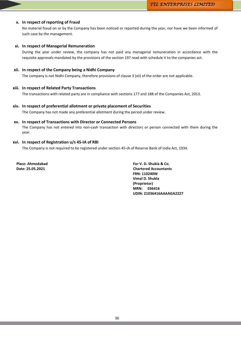# **x. In respect of reporting of Fraud**

No material fraud on or by the Company has been noticed or reported during the year, nor have we been informed of such case by the management.

### **xi. In respect of Managerial Remuneration**

During the year under review, the company has not paid any managerial remuneration in accordance with the requisite approvals mandated by the provisions of the section 197 read with schedule V to the companies act.

# **xii. In respect of the Company being a Nidhi Company**

The company is not Nidhi Company, therefore provisions of clause 3 (xii) of the order are not applicable.

#### **xiii. In respect of Related Party Transactions**

The transactions with related party are in compliance with sections 177 and 188 of the Companies Act, 2013.

#### **xiv. In respect of preferential allotment or private placement of Securities**

The Company has not made any preferential allotment during the period under review.

### **xv. In respect of Transactions with Director or Connected Persons**

The Company has not entered into non-cash transaction with directors or person connected with them during the year.

### **xvi. In respect of Registration u/s 45-IA of RBI**

The Company is not required to be registered under section 45-IA of Reserve Bank of India Act, 1934.

**Place: Ahmedabad For V. D. Shukla & Co. Date: 25.05.2021 Chartered Accountants FRN: 110240W Vimal D. Shukla (Proprietor) MRN: 036416 UDIN: 21036416AAAAGA2227**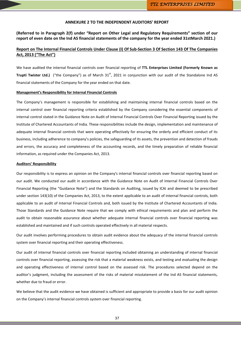#### **ANNEXURE 2 TO THE INDEPENDENT AUDITORS' REPORT**

**(Referred to in Paragraph 2(f) under "Report on Other Legal and Regulatory Requirements" section of our report of even date on the Ind AS financial statements of the company for the year ended 31stMarch 2021.)**

# **Report on The Internal Financial Controls Under Clause (I) Of Sub-Section 3 Of Section 143 Of The Companies Act, 2013 ("The Act")**

We have audited the internal financial controls over financial reporting of **TTL Enterprises Limited (Formerly Known as Trupti Twister Ltd.)** ("the Company") as of March 31<sup>st</sup>, 2021 in conjunction with our audit of the Standalone Ind AS financial statements of the Company for the year ended on that date.

#### **Management's Responsibility for Internal Financial Controls**

The Company's management is responsible for establishing and maintaining internal financial controls based on the internal control over financial reporting criteria established by the Company considering the essential components of internal control stated in the Guidance Note on Audit of Internal Financial Controls Over Financial Reporting issued by the Institute of Chartered Accountants of India. These responsibilities include the design, implementation and maintenance of adequate internal financial controls that were operating effectively for ensuring the orderly and efficient conduct of its business, including adherence to company's policies, the safeguarding of its assets, the prevention and detection of frauds and errors, the accuracy and completeness of the accounting records, and the timely preparation of reliable financial information, as required under the Companies Act, 2013.

#### **Auditors' Responsibility**

Our responsibility is to express an opinion on the Company's internal financial controls over financial reporting based on our audit. We conducted our audit in accordance with the Guidance Note on Audit of Internal Financial Controls Over Financial Reporting (the "Guidance Note") and the Standards on Auditing, issued by ICAI and deemed to be prescribed under section 143(10) of the Companies Act, 2013, to the extent applicable to an audit of internal financial controls, both applicable to an audit of Internal Financial Controls and, both issued by the Institute of Chartered Accountants of India. Those Standards and the Guidance Note require that we comply with ethical requirements and plan and perform the audit to obtain reasonable assurance about whether adequate internal financial controls over financial reporting was established and maintained and if such controls operated effectively in all material respects.

Our audit involves performing procedures to obtain audit evidence about the adequacy of the internal financial controls system over financial reporting and their operating effectiveness.

Our audit of internal financial controls over financial reporting included obtaining an understanding of internal financial controls over financial reporting, assessing the risk that a material weakness exists, and testing and evaluating the design and operating effectiveness of internal control based on the assessed risk. The procedures selected depend on the auditor's judgment, including the assessment of the risks of material misstatement of the Ind AS financial statements, whether due to fraud or error.

We believe that the audit evidence we have obtained is sufficient and appropriate to provide a basis for our audit opinion on the Company's internal financial controls system over financial reporting.

37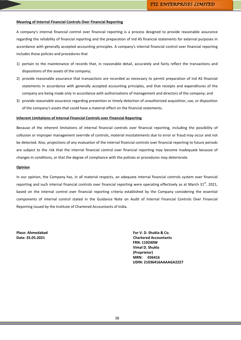#### **Meaning of Internal Financial Controls Over Financial Reporting**

A company's internal financial control over financial reporting is a process designed to provide reasonable assurance regarding the reliability of financial reporting and the preparation of Ind AS financial statements for external purposes in accordance with generally accepted accounting principles. A company's internal financial control over financial reporting includes those policies and procedures that

- 1) pertain to the maintenance of records that, in reasonable detail, accurately and fairly reflect the transactions and dispositions of the assets of the company;
- 2) provide reasonable assurance that transactions are recorded as necessary to permit preparation of Ind AS financial statements in accordance with generally accepted accounting principles, and that receipts and expenditures of the company are being made only in accordance with authorisations of management and directors of the company; and
- 3) provide reasonable assurance regarding prevention or timely detection of unauthorized acquisition, use, or disposition of the company's assets that could have a material effect on the financial statements.

#### **Inherent Limitations of Internal Financial Controls over Financial Reporting**

Because of the inherent limitations of internal financial controls over financial reporting, including the possibility of collusion or improper management override of controls, material misstatements due to error or fraud may occur and not be detected. Also, projections of any evaluation of the internal financial controls over financial reporting to future periods are subject to the risk that the internal financial control over financial reporting may become inadequate because of changes in conditions, or that the degree of compliance with the policies or procedures may deteriorate.

#### **Opinion**

In our opinion, the Company has, in all material respects, an adequate internal financial controls system over financial reporting and such internal financial controls over financial reporting were operating effectively as at March  $31<sup>st</sup>$ , 2021, based on the internal control over financial reporting criteria established by the Company considering the essential components of internal control stated in the Guidance Note on Audit of Internal Financial Controls Over Financial Reporting issued by the Institute of Chartered Accountants of India.

**Place: Ahmedabad For V. D. Shukla & Co.**

**Date: 25.05.2021 Chartered Accountants FRN: 110240W Vimal D. Shukla (Proprietor) MRN: 036416 UDIN: 21036416AAAAGA2227**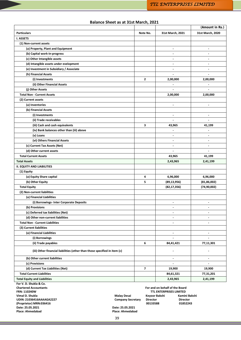|                                                                           |                         |                          | (Amount in Rs.)          |
|---------------------------------------------------------------------------|-------------------------|--------------------------|--------------------------|
| <b>Particulars</b>                                                        | Note No.                | 31st March, 2021         | 31st March, 2020         |
| <b>I. ASSETS</b>                                                          |                         |                          |                          |
| (1) Non-current assets                                                    |                         |                          |                          |
| (a) Property, Plant and Equipment                                         |                         | $\frac{1}{2}$            | $\overline{\phantom{0}}$ |
| (b) Capital work-in-progress                                              |                         | $\blacksquare$           | $\overline{a}$           |
| (c) Other Intangible assets                                               |                         | $\overline{a}$           | ÷                        |
| (d) Intangible assets under evelopment                                    |                         | $\blacksquare$           | $\overline{a}$           |
| (e) Investment in Subsidiary / Associate                                  |                         | -                        | $\frac{1}{2}$            |
| (h) Financial Assets                                                      |                         |                          | ÷                        |
| (i) Investments                                                           | $\mathbf{2}$            | 2,00,000                 | 2,00,000                 |
| (ii) Other Financial Assets                                               |                         |                          |                          |
| (j) Other Assets                                                          |                         |                          |                          |
| <b>Total Non - Current Assets</b>                                         |                         | 2,00,000                 | 2,00,000                 |
| (2) Current assets                                                        |                         |                          |                          |
| (a) Inventories                                                           |                         | ÷.                       | $\blacksquare$           |
| (b) Financial Assets                                                      |                         |                          |                          |
| (i) Investments                                                           |                         | $\overline{a}$           | $\blacksquare$           |
| (ii) Trade receivables                                                    |                         |                          | $\overline{a}$           |
| (iii) Cash and cash equivalents                                           | 3                       | 43,965                   | 41,199                   |
| (iv) Bank balances other than (iii) above                                 |                         |                          |                          |
| (v) Loans                                                                 |                         | $\overline{a}$           | $\overline{\phantom{a}}$ |
| (vi) Others Financial Assets                                              |                         | $\overline{\phantom{0}}$ | $\blacksquare$           |
| (c) Current Tax Assets (Net)                                              |                         | $\overline{\phantom{a}}$ | $\blacksquare$           |
| (d) Other current assets                                                  |                         | $\overline{a}$           | $\blacksquare$           |
| <b>Total Current Assets</b>                                               |                         | 43,965                   | 41,199                   |
| <b>Total Assets</b>                                                       |                         | 2,43,965                 | 2,41,199                 |
| <b>II. EQUITY AND LIABILITIES</b>                                         |                         |                          |                          |
| (1) Equity                                                                |                         |                          |                          |
| (a) Equity Share capital                                                  | 4                       | 6,96,000                 | 6,96,000                 |
| (b) Other Equity                                                          | 5                       | (89, 13, 956)            | (81, 86, 002)            |
| <b>Total Equity</b>                                                       |                         | (82, 17, 356)            | (74, 90, 002)            |
| (2) Non-current liabilities                                               |                         |                          |                          |
| (a) Financial Liabilities                                                 |                         |                          |                          |
| (i) Borrowings- Inter Corporate Deposits                                  |                         |                          | ÷                        |
| (b) Provisions                                                            |                         | $\overline{a}$           | $\overline{a}$           |
| (c) Deferred tax liabilities (Net)                                        |                         | $\blacksquare$           |                          |
| (d) Other non-current liabilities                                         |                         | -                        | $\overline{a}$           |
| <b>Total Non - Current Liabilities</b>                                    |                         | $\overline{a}$           | $\overline{a}$           |
| (3) Current liabilities                                                   |                         |                          |                          |
| (a) Financial Liabilities                                                 |                         | $\blacksquare$           | $\blacksquare$           |
| (i) Borrowings                                                            |                         | $\overline{\phantom{0}}$ | $\overline{a}$           |
| (ii) Trade payables                                                       | 6                       | 84,41,421                | 77,11,301                |
|                                                                           |                         |                          |                          |
| (iii) Other financial liabilities (other than those specified in item (c) |                         | $\overline{a}$           |                          |
| (b) Other current liabilities                                             |                         | $\blacksquare$           | $\blacksquare$           |
| (c) Provisions                                                            |                         |                          |                          |
| (d) Current Tax Liabilities (Net)                                         | $\overline{\mathbf{z}}$ | 19,900                   | 19,900                   |
| <b>Total Current Liabilities</b>                                          |                         | 84,61,321                | 77,31,201                |
| <b>Total Equity and Liabilities</b>                                       |                         | 2,43,965                 | 2,41,199                 |
| For V. D. Shukla & Co.                                                    |                         |                          |                          |

# **Balance Sheet as at 31st March, 2021**

**Chartered Accountants FRN: 110240W Vimal D. Shukla UDIN: 21036416AAAAGA2227 (Proprietor) MRN:036416 Date: 25.05.2021 Place: Ahmedabad**

 **For and on behalf of the Board TTL ENTERPRISES LIMITED**<br>Malay Desai Keyoor Bakshi Kamin Keyoor Bakshi Kamini Bakshi<br>Director **Director Company Secretary Director Director Director**<br> **00133588** 01852243  **00133588 01852243**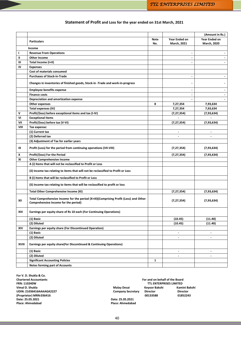|       |                                                                                                                             |                    |                              | (Amount in Rs.)              |
|-------|-----------------------------------------------------------------------------------------------------------------------------|--------------------|------------------------------|------------------------------|
|       | <b>Particulars</b>                                                                                                          | <b>Note</b><br>No. | Year Ended on<br>March, 2021 | Year Ended on<br>March, 2020 |
|       | Income                                                                                                                      |                    |                              |                              |
| 1     | <b>Revenue From Operations</b>                                                                                              |                    | $\overline{\phantom{a}}$     |                              |
| Ш     | <b>Other Income</b>                                                                                                         |                    |                              | $\sim$                       |
| Ш     | Total Income (I+II)                                                                                                         |                    | $\overline{\phantom{0}}$     |                              |
| IV    | <b>Expenses</b>                                                                                                             |                    |                              |                              |
|       | Cost of materials consumed                                                                                                  |                    |                              |                              |
|       | <b>Purchases of Stock-in-Trade</b>                                                                                          |                    | $\overline{\phantom{a}}$     |                              |
|       | Changes in inventories of finished goods, Stock-in -Trade and work-in-progress                                              |                    | $\blacksquare$               |                              |
|       | <b>Employee benefits expense</b>                                                                                            |                    | $\blacksquare$               | $\blacksquare$               |
|       | <b>Finance costs</b>                                                                                                        |                    | $\blacksquare$               | $\blacksquare$               |
|       | Depreciation and amortization expense                                                                                       |                    | ۰                            |                              |
|       | <b>Other expenses</b>                                                                                                       | 8                  | 7,27,354                     | 7,93,634                     |
|       | <b>Total expenses (IV)</b>                                                                                                  |                    | 7,27,354                     | 7,93,634                     |
| v     | Profit/(loss) before exceptional items and tax (I-IV)                                                                       |                    | (7, 27, 354)                 | (7, 93, 634)                 |
| VI    | <b>Exceptional Items</b>                                                                                                    |                    |                              |                              |
| VII   | Profit/(loss) before tax (V-VI)                                                                                             |                    | (7, 27, 354)                 | (7, 93, 634)                 |
| VIII  | Tax expense:                                                                                                                |                    |                              |                              |
|       | (1) Current tax                                                                                                             |                    |                              | $\blacksquare$               |
|       | (2) Deferred tax                                                                                                            |                    | $\overline{a}$               | ÷.                           |
|       | (3) Adjustment of Tax for earlier years                                                                                     |                    |                              |                              |
| IX    | Profit (Loss) for the period from continuing operations (VII-VIII)                                                          |                    | (7, 27, 354)                 | (7, 93, 634)                 |
| X     | Profit/(loss) For the Period                                                                                                |                    | (7, 27, 354)                 | (7, 93, 634)                 |
| ΧI    | <b>Other Comprehensive Income</b>                                                                                           |                    |                              |                              |
|       | A (i) Items that will not be reclassified to Profit or Loss                                                                 |                    |                              |                              |
|       | (ii) Income tax relating to items that will not be reclassified to Profit or Loss                                           |                    |                              |                              |
|       | B (i) Items that will be reclassified to Profit or Loss                                                                     |                    |                              |                              |
|       | (ii) Income tax relating to items that will be reclassified to profit or loss                                               |                    |                              |                              |
|       | <b>Total Other Comprehensive Income (XI)</b>                                                                                |                    | (7, 27, 354)                 | (7, 93, 634)                 |
| XII   | Total Comprehensive Income for the period (X+XI)(Comprising Profit (Loss) and Other<br>Comprehensive Income for the period) |                    | (7, 27, 354)                 | (7, 93, 634)                 |
| XIII  | Earnings per equity share of Rs 10 each (For Continuing Operations)                                                         |                    |                              |                              |
|       | (1) Basic                                                                                                                   |                    | (10.45)                      | (11.40)                      |
|       | (2) Diluted                                                                                                                 |                    | (10.45)                      | (11.40)                      |
| XIV   | Earnings per equity share (For Discontinued Operation)                                                                      |                    |                              |                              |
|       | (1) Basic                                                                                                                   |                    | $\blacksquare$               | $\blacksquare$               |
|       | (2) Diluted                                                                                                                 |                    | $\qquad \qquad \blacksquare$ | $\blacksquare$               |
| XVIII | Earnings per equity share(For Discontinued & Continuing Operations)                                                         |                    |                              |                              |
|       | (1) Basic                                                                                                                   |                    | $\blacksquare$               | $\blacksquare$               |
|       | (2) Diluted                                                                                                                 |                    | $\blacksquare$               | $\overline{a}$               |
|       | <b>Significant Accounting Policies</b>                                                                                      | $\mathbf{1}$       |                              |                              |
|       | <b>Notes forming part of Accounts</b>                                                                                       |                    |                              |                              |
|       |                                                                                                                             |                    |                              |                              |

# **Statement of Profit and Loss for the year ended on 31st March, 2021**

**For V. D. Shukla & Co. Chartered Accountants FRN: 110240W Vimal D. Shukla UDIN: 21036416AAAAGA2227 (Proprietor) MRN:036416 Date: 25.05.2021 Place: Ahmedabad**

 **For and on behalf of the Board TTL ENTERPRISES LIMITED Malay Desai Keyoor Bakshi Kamini Bakshi Kamini Bakari Kamini Bakari Kamini Bakari Kamini Bakari Kamini Bakari**<br>Company Secretary Director Director **Company Secretary Director Director Director**<br> **00133588** 01852243 00133588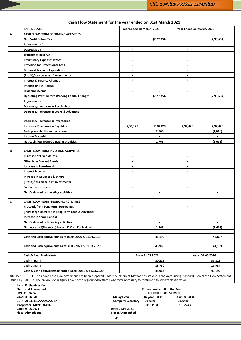|               | <b>PARTICULARS</b>                                                                                                                              |                          | Year Ended on March, 2021 |                                  | Year Ended on March, 2020 |
|---------------|-------------------------------------------------------------------------------------------------------------------------------------------------|--------------------------|---------------------------|----------------------------------|---------------------------|
| Α             | <b>CASH FLOW FROM OPERATING ACTIVITIES</b>                                                                                                      |                          |                           |                                  |                           |
|               | <b>Net Profit Before Tax</b>                                                                                                                    |                          | (7, 27, 354)              |                                  | (7, 93, 634)              |
|               | <b>Adjustments for:</b>                                                                                                                         |                          |                           |                                  |                           |
|               | Depreciation                                                                                                                                    |                          |                           |                                  |                           |
|               | <b>Transfer to Reserve</b>                                                                                                                      | $\overline{a}$           |                           |                                  |                           |
|               | <b>Preliminary Expenses w/off</b>                                                                                                               | $\blacksquare$           |                           | $\sim$                           |                           |
|               | <b>Provision for Professional Fees</b>                                                                                                          |                          |                           |                                  |                           |
|               | <b>Deferred Revenue Expenditure</b>                                                                                                             |                          |                           | $\sim$                           |                           |
|               | (Profit)/loss on sale of Investments                                                                                                            | $\blacksquare$           |                           | $\blacksquare$                   |                           |
|               | <b>Interest &amp; Finance Charges</b>                                                                                                           | $\blacksquare$           |                           | $\blacksquare$                   |                           |
|               | Interest on FD (Accrual)                                                                                                                        | $\blacksquare$           |                           |                                  |                           |
|               | <b>Dividend Income</b>                                                                                                                          |                          |                           |                                  |                           |
|               | <b>Operating Profit before Working Capital Changes</b>                                                                                          |                          | (7, 27, 354)              |                                  | (7, 93, 634)              |
|               | <b>Adjustments for:</b>                                                                                                                         |                          |                           |                                  |                           |
|               | Decrease/(Increase) in Receivables                                                                                                              |                          |                           |                                  |                           |
|               |                                                                                                                                                 |                          |                           |                                  |                           |
|               | Decrease/(Increase) in Loans & Advances                                                                                                         |                          |                           |                                  |                           |
|               | Decrease/(Increase) in Inventories                                                                                                              |                          |                           |                                  |                           |
|               | Increase/(Decrease) in Payables                                                                                                                 | 7,30,120                 | 7,30,120                  | 7,92,026                         | 7,92,026                  |
|               | Cash generated from operations                                                                                                                  |                          | 2,766                     |                                  | (1,608)                   |
|               | <b>Income Tax paid</b>                                                                                                                          |                          |                           |                                  | L.                        |
|               |                                                                                                                                                 |                          |                           |                                  |                           |
|               | Net Cash flow from Operating activities                                                                                                         |                          | 2,766                     |                                  | (1,608)                   |
| В             | <b>CASH FLOW FROM INVESTING ACTIVITIES</b>                                                                                                      |                          |                           |                                  |                           |
|               | <b>Purchase of Fixed Assets</b>                                                                                                                 | $\blacksquare$           |                           |                                  |                           |
|               | <b>Other Non Current Assets</b>                                                                                                                 |                          |                           |                                  |                           |
|               | Increase in Investments                                                                                                                         | $\blacksquare$           |                           | $\sim$                           |                           |
|               | <b>Interest Income</b>                                                                                                                          | $\blacksquare$           |                           |                                  |                           |
|               | Increase in Advances & others                                                                                                                   | $\overline{\phantom{a}}$ |                           | $\blacksquare$                   |                           |
|               | (Profit)/loss on sale of Investments                                                                                                            |                          |                           |                                  |                           |
|               | Sale of Investments                                                                                                                             | $\blacksquare$           |                           | $\blacksquare$<br>$\blacksquare$ |                           |
|               |                                                                                                                                                 | $\blacksquare$           |                           |                                  |                           |
|               | Net Cash used in Investing activities                                                                                                           |                          |                           |                                  | $\blacksquare$            |
| C             | <b>CASH FLOW FROM FINANCING ACTIVITIES</b>                                                                                                      |                          |                           |                                  |                           |
|               | Proceeds from Long term Borrowings                                                                                                              | $\blacksquare$           |                           | $\blacksquare$                   |                           |
|               | (Increase) / Decrease in Long Term Loan & Advances                                                                                              |                          |                           |                                  |                           |
|               | <b>Increase in Share Capital</b>                                                                                                                |                          |                           |                                  |                           |
|               |                                                                                                                                                 |                          |                           |                                  |                           |
|               | Net Cash used in financing activities                                                                                                           |                          | $\blacksquare$            |                                  |                           |
|               | Net increase/(Decrease) in cash & Cash Equivalents                                                                                              |                          | 2,766                     |                                  | (1,608)                   |
|               | Cash and Cash equivalents as at 01.04.2020 & 01.04.2019                                                                                         |                          | 41,199                    |                                  | 42,807                    |
|               |                                                                                                                                                 |                          |                           |                                  |                           |
|               | Cash and Cash equivalents as at 31.03.2021 & 31.03.2020                                                                                         |                          | 43,965                    |                                  | 41,199                    |
|               |                                                                                                                                                 |                          |                           |                                  |                           |
|               | Cash & Cash Equivalents                                                                                                                         |                          | As on 31.03.2021          |                                  | As on 31.03.2020          |
|               | Cash in Hand                                                                                                                                    |                          | 30,215                    |                                  | 30,215                    |
|               | Cash at Bank                                                                                                                                    |                          | 13,750                    |                                  | 10,984                    |
|               | Cash & Cash equivalents as stated 31.03.2021 & 31.03.2020                                                                                       |                          | 43,965                    |                                  | 41,199                    |
| <b>NOTES:</b> | 1. The above Cash Flow Statement has been prepared under the "Indirect Method" as set out in the Accounting Standard-3 on "Cash Flow Statement" |                          |                           |                                  |                           |

# **Cash Flow Statement for the year ended on 31st March 2021**

issued by ICAI. **2.** The previous year figures have been regrouped/restated wherever necessary to confirm to this year's classification**.**

**For V. D. Shukla & Co. Chartered Accountants FRN: 110240W Vimal D. Shukla UDIN: 21036416AAAAGA2227 (Proprietor) MRN:036416 Date: 25.05.2021 Place: Ahmedabad**

 **For and on behalf of the Board TTL ENTERPRISES LIMITED<br>Malay Desai** Keyoor Bakshi Kamini Bakshi **Keyoor Bakshi** 

**Company Secretary Director Director Director**<br>00133588 01852243 00133588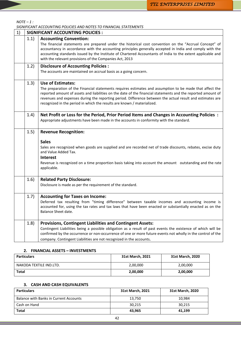*NOTE – 1 :*

|    |       | SIGNIFICANT ACCOUNTING POLICIES AND NOTES TO FINANCIAL STATEMENTS                                                                                                                                                                                                                                                                                                                                                                            |
|----|-------|----------------------------------------------------------------------------------------------------------------------------------------------------------------------------------------------------------------------------------------------------------------------------------------------------------------------------------------------------------------------------------------------------------------------------------------------|
| 1) |       | <b>SIGNIFICANT ACCOUNTING POLICIES :</b>                                                                                                                                                                                                                                                                                                                                                                                                     |
|    | 1.1)  | <b>Accounting Convention:</b><br>The financial statements are prepared under the historical cost convention on the "Accrual Concept" of<br>accountancy in accordance with the accounting principles generally accepted in India and comply with the<br>accounting standards issued by the Institute of Chartered Accountants of India to the extent applicable and<br>with the relevant provisions of the Companies Act, 2013                |
|    | 1.2)  | <b>Disclosure of Accounting Policies:</b><br>The accounts are maintained on accrual basis as a going concern.                                                                                                                                                                                                                                                                                                                                |
|    | 1.3)  | <b>Use of Estimates:</b><br>The preparation of the Financial statements requires estimates and assumption to be made that affect the<br>reported amount of assets and liabilities on the date of the financial statements and the reported amount of<br>revenues and expenses during the reporting period. Difference between the actual result and estimates are<br>recognized in the period in which the results are known / materialized. |
|    | (1.4) | Net Profit or Loss for the Period, Prior Period Items and Changes in Accounting Policies :<br>Appropriate adjustments have been made in the accounts in conformity with the standard.                                                                                                                                                                                                                                                        |
|    | 1.5)  | <b>Revenue Recognition:</b>                                                                                                                                                                                                                                                                                                                                                                                                                  |
|    |       | <b>Sales</b><br>Sales are recognized when goods are supplied and are recorded net of trade discounts, rebates, excise duty<br>and Value Added Tax.<br><b>Interest</b><br>Revenue is recognized on a time proportion basis taking into account the amount outstanding and the rate<br>applicable.                                                                                                                                             |
|    | 1.6)  | <b>Related Party Disclosure:</b><br>Disclosure is made as per the requirement of the standard.                                                                                                                                                                                                                                                                                                                                               |
|    | 1.7)  | <b>Accounting for Taxes on Income:</b><br>Deferred tax resulting from "timing difference" between taxable incomes and accounting income is<br>accounted for, using the tax rates and tax laws that have been enacted or substantially enacted as on the<br>Balance Sheet date.                                                                                                                                                               |
|    | (1.8) | <b>Provisions, Contingent Liabilities and Contingent Assets:</b><br>Contingent Liabilities being a possible obligation as a result of past events the existence of which will be<br>confirmed by the occurrence or non-occurrence of one or more future events not wholly in the control of the<br>company. Contingent Liabilities are not recognized in the accounts.                                                                       |

# **2. FINANCIAL ASSETS – INVESTMENTS**

| <b>Particulars</b>      | 31st March, 2021 | 31st March, 2020 |
|-------------------------|------------------|------------------|
| NAKODA TEXTILE IND.LTD. | 2,00,000         | 2,00,000         |
| <b>Total</b>            | 2,00,000         | 2,00,000         |

# **3. CASH AND CASH EQUIVALENTS**

| <b>Particulars</b>                     | 31st March, 2021 | 31st March, 2020 |
|----------------------------------------|------------------|------------------|
| Balance with Banks in Current Accounts | 13,750           | 10,984           |
| Cash on Hand                           | 30,215           | 30,215           |
| <b>Total</b>                           | 43.965           | 41.199           |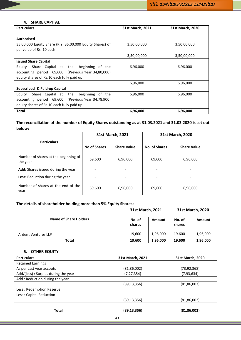# **4. SHARE CAPITAL**

| <b>Particulars</b>                                       | 31st March, 2021 | 31st March, 2020 |
|----------------------------------------------------------|------------------|------------------|
|                                                          |                  |                  |
| <b>Authorised</b>                                        |                  |                  |
| 35,00,000 Equity Share (P.Y. 35,00,000 Equity Shares) of | 3,50,00,000      | 3,50,00,000      |
| par value of Rs. 10 each                                 |                  |                  |
|                                                          | 3,50,00,000      | 3,50,00,000      |
| <b>Issued Share Capital</b>                              |                  |                  |
| Share Capital at the<br>beginning of the<br>Equity       | 6,96,000         | 6,96,000         |
| accounting period 69,600 (Previous Year 34,80,000)       |                  |                  |
| equity shares of Rs.10 each fully paid up                |                  |                  |
|                                                          | 6,96,000         | 6,96,000         |
| Subscribed & Paid-up Capital                             |                  |                  |
| Share Capital at the<br>beginning of the<br>Equity       | 6,96,000         | 6,96,000         |
| accounting period 69,600 (Previous Year 34,78,900)       |                  |                  |
| equity shares of Rs.10 each fully paid up                |                  |                  |
| Total                                                    | 6,96,000         | 6,96,000         |

# **The reconciliation of the number of Equity Shares outstanding as at 31.03.2021 and 31.03.2020 is set out below:**

|                                                  | 31st March, 2021    |                    | 31st March, 2020 |                    |
|--------------------------------------------------|---------------------|--------------------|------------------|--------------------|
| <b>Particulars</b>                               | <b>No of Shares</b> | <b>Share Value</b> | No. of Shares    | <b>Share Value</b> |
| Number of shares at the beginning of<br>the year | 69,600              | 6,96,000           | 69,600           | 6,96,000           |
| Add: Shares issued during the year               | -                   |                    |                  |                    |
| Less: Reduction during the year                  | ٠                   |                    |                  |                    |
| Number of shares at the end of the<br>year       | 69,600              | 6,96,000           | 69,600           | 6,96,000           |

# **The details of shareholder holding more than 5% Equity Shares:**

|                       | 31st March, 2021 |          | 31st March, 2020 |          |
|-----------------------|------------------|----------|------------------|----------|
| Name of Share Holders | No. of<br>shares | Amount   | No. of<br>shares | Amount   |
| Ardent Ventures LLP   | 19,600           | 1,96,000 | 19,600           | 1,96,000 |
| Total                 | 19,600           | 1,96,000 | 19,600           | 1,96,000 |

# **5. OTHER EQUITY**

| <b>Particulars</b>                  | 31st March, 2021 | 31st March, 2020         |
|-------------------------------------|------------------|--------------------------|
| <b>Retained Earnings</b>            |                  |                          |
| As per Last year accouts            | (81, 86, 002)    | (73, 92, 368)            |
| Add/(less): Surplus during the year | (7, 27, 354)     | (7, 93, 634)             |
| Add: Reduction during the year      |                  | $\overline{\phantom{a}}$ |
|                                     | (89, 13, 356)    | (81, 86, 002)            |
| Less: Redemption Reserve            |                  |                          |
| Less: Capital Reduction             |                  |                          |
|                                     | (89, 13, 356)    | (81, 86, 002)            |
|                                     |                  |                          |
| <b>Total</b>                        | (89, 13, 356)    | (81, 86, 002)            |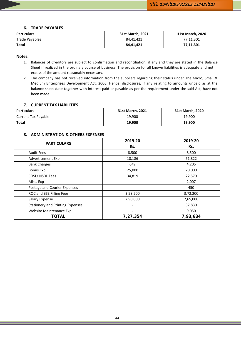#### **6. TRADE PAYABLES**

| <b>Particulars</b> | 31st March, 2021 | 31st March, 2020 |
|--------------------|------------------|------------------|
| Trade Payables     | 84.41.421        | 77,11,301        |
| Total              | 84.41.421        | 77,11,301        |

**Notes:**

- 1. Balances of Creditors are subject to confirmation and reconciliation, if any and they are stated in the Balance Sheet if realized in the ordinary course of business. The provision for all known liabilities is adequate and not in excess of the amount reasonably necessary.
- 2. The company has not received information from the suppliers regarding their status under The Micro, Small & Medium Enterprises Development Act, 2006. Hence, disclosures, if any relating to amounts unpaid as at the balance sheet date together with interest paid or payable as per the requirement under the said Act, have not been made.

# **7. CURRENT TAX LIABILITIES**

| <b>Particulars</b>  | 31st March, 2021 | 31st March, 2020 |
|---------------------|------------------|------------------|
| Current Tax Payable | 19,900           | 19,900           |
| <b>Total</b>        | 19,900           | 19,900           |

# **8. ADMINISTRATION & OTHERS EXPENSES**

|                                         | 2019-20                  | 2019-20  |
|-----------------------------------------|--------------------------|----------|
| <b>PARTICULARS</b>                      | Rs.                      | Rs.      |
| <b>Audit Fees</b>                       | 8,500                    | 8,500    |
| Advertisement Exp                       | 10,186                   | 51,822   |
| <b>Bank Charges</b>                     | 649                      | 4,205    |
| <b>Bonus Exp</b>                        | 25,000                   | 20,000   |
| CDSL/ NSDL Fees                         | 34,819                   | 22,570   |
| Misc. Exp                               | $\overline{\phantom{0}}$ | 2,007    |
| Postage and Courier Expenses            |                          | 450      |
| ROC and BSE Filling Fees                | 3,58,200                 | 3,72,200 |
| <b>Salary Expense</b>                   | 2,90,000                 | 2,65,000 |
| <b>Stationery and Printing Expenses</b> | $\overline{\phantom{a}}$ | 37,830   |
| Website Maintenance Exp                 |                          | 9,050    |
| TOTAL                                   | 7,27,354                 | 7,93,634 |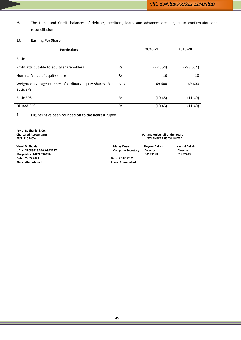9. The Debit and Credit balances of debtors, creditors, loans and advances are subject to confirmation and reconciliation.

# 10. **Earning Per Share**

| <b>Particulars</b>                                                         |           | 2020-21    | 2019-20   |
|----------------------------------------------------------------------------|-----------|------------|-----------|
| Basic                                                                      |           |            |           |
| Profit attributable to equity shareholders                                 | <b>Rs</b> | (727, 354) | (793,634) |
| Nominal Value of equity share                                              | Rs.       | 10         | 10        |
| Weighted average number of ordinary equity shares -For<br><b>Basic EPS</b> | Nos.      | 69,600     | 69,600    |
| <b>Basic EPS</b>                                                           | Rs.       | (10.45)    | (11.40)   |
| <b>Diluted EPS</b>                                                         | Rs.       | (10.45)    | (11.40)   |

11. Figures have been rounded off to the nearest rupee.

**For V. D. Shukla & Co. Chartered Accountants FRN: 110240W**

**Vimal D. Shukla UDIN: 21036416AAAAGA2227 (Proprietor) MRN:036416 Date: 25.05.2021 Place: Ahmedabad**

 **For and on behalf of the Board TTL ENTERPRISES LIMITED**

 **Malay Desai Keyoor Bakshi Kamini Bakshi**

**Company Secretary Director Director Director**<br>**00133588** 01852243 00133588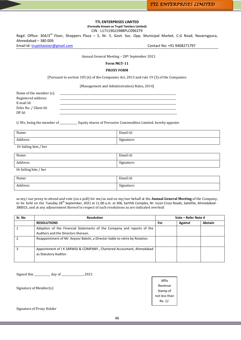#### **TTL ENTERPRISES LIMITED (Formally Known as Trupti Twisters Limited)** CIN - L17119GJ1988PLC096379

Regd. Office: 304/3<sup>rd</sup> Floor, Shoppers Plaza – 5, Nr. 5. Govt. Soc. Opp. Municipal Market, C.G Road, Navarngpura, Ahmedabad – 380 009.

Email Id[: truptitwister@gmail.com](mailto:truptitwister@gmail.com) Contact No: +91 9408271797

Annual General Meeting – 28th September 2021

#### **Form MGT-11**

#### **PROXY FORM**

[Pursuant to section 105 (6) of the Companies Act, 2013 and rule 19 (3) of the Companies

(Management and Administration) Rules, 2014]

| Name of the member $(s)$ : |  |
|----------------------------|--|
| Registered address:        |  |
| E-mail Id:                 |  |
| Folio No. / Client Id:     |  |
| DP Id:                     |  |

I/ We, being the member of \_\_\_\_\_\_\_\_\_\_\_\_\_ Equity shares of Pervasive Commodities Limited, hereby appoint:

| Name:                                                | Email id:  |
|------------------------------------------------------|------------|
| Address:                                             | Signature: |
| $\sim$ $\sim$ $\sim$ $\sim$ $\sim$<br>$\overline{1}$ |            |

Or failing him / her

| Name:                | Email id:  |
|----------------------|------------|
| Address:             | Signature: |
| Or failing him / her |            |

| Name:    | Email id:  |
|----------|------------|
| Address: | Signature: |

as my/ our proxy to attend and vote (on a poll) for me/us and on my/our behalf at the **Annual General Meeting** of the Company, to be held on the Tuesday 28<sup>th</sup> September, 2021 at 11.00 a.m. at 306, Sarthik Complex, Nr. Iscon Cross Roads, Satellite, Ahmedabad -380015, and at any adjournment thereof in respect of such resolutions as are indicated overleaf:

| Sr. No | <b>Resolution</b>                                                                                             | Vote - Refer Note 4 |         |         |
|--------|---------------------------------------------------------------------------------------------------------------|---------------------|---------|---------|
|        | <b>RESOLUTIONS</b>                                                                                            | For                 | Against | Abstain |
|        | Adoption of the Financial Statements of the Company and reports of the<br>Auditors and the Directors thereon. |                     |         |         |
|        | Reappointment of Mr. Keyoor Bakshi, a Director liable to retire by Rotation.                                  |                     |         |         |
|        | Appointment of J K SARWGI & COMPANY., Chartered Accountant, Ahmedabad<br>as Statutory Auditor.                |                     |         |         |

Signed this \_\_\_\_\_\_\_\_\_\_\_\_ day of \_\_\_\_\_\_\_\_\_\_\_\_\_\_\_\_, 2021

Signature of Member(s)

Affix Revenue Stamp of not less than Re. 1/-

#### Signature of Proxy Holder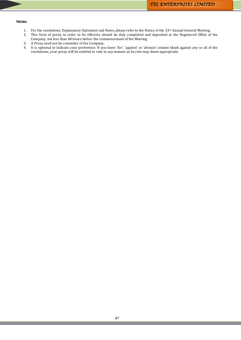#### Notes:

- 1. For the resolutions, Explanatory Statement and Notes, please refer to the Notice of the 33<sup>rd</sup> Annual General Meeting.<br>2. This form of proxy in order to be effective should be duly completed and deposited at the Registe
- This form of proxy in order to be effective should be duly completed and deposited at the Registered Office of the Company, not less than 48 hours before the commencement of the Meeting.
- 3. A Proxy need not be a member of the Company.
- 4. It is optional to indicate your preference. If you leave 'for', 'against' or 'abstain' column blank against any or all of the resolutions, your proxy will be entitled to vote in any manner as he/she may deem appropriate.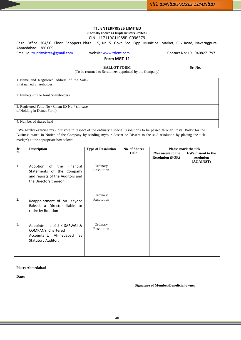# **TTL ENTERPRISES LIMITED**

**(Formally Known as Trupti Twisters Limited)**

CIN - L17119GJ1988PLC096379

Regd. Office: 304/3<sup>rd</sup> Floor, Shoppers Plaza - 5, Nr. 5. Govt. Soc. Opp. Municipal Market, C.G Road, Navarngpura, Ahmedabad – 380 009.

Email Id[: truptitwister@gmail.com](mailto:truptitwister@gmail.com) websie: [www.ttlent.com](http://www.ttlent.com/) Contact No: +91 9408271797

**Form MGT-12** 

**BALLOT FORM** Sr. No.

(To be returned to Scrutinizer appointed by the Company)

| 1. Name and Registered address of the Sole-<br>First named Shareholder        |  |
|-------------------------------------------------------------------------------|--|
| 2. Name(s) of the Joint Shareholders                                          |  |
| 3. Registered Folio No / Client ID No.* (In case<br>of Holding in Demat Form) |  |
| 4. Number of shares held                                                      |  |

I/We hereby exercise my / our vote in respect of the ordinary / special resolutions to be passed through Postal Ballot for the Business stated in Notice of the Company by sending my/our Assent or Dissent to the said resolution by placing the tick  $mark(\checkmark)$  at the appropriate box below:

| Sr.            | <b>Description</b>                                                                                                        | <b>Type of Resolution</b>     | <b>No. of Shares</b> | Please mark the tick                          |                                                |
|----------------|---------------------------------------------------------------------------------------------------------------------------|-------------------------------|----------------------|-----------------------------------------------|------------------------------------------------|
| N <sub>o</sub> |                                                                                                                           |                               | Held                 | I/We assent to the<br><b>Resolution (FOR)</b> | I/We dissent to the<br>resolution<br>(AGAINST) |
| 1.             | Adoption<br>of the<br>Financial<br>Statements of the Company<br>and reports of the Auditors and<br>the Directors thereon. | Ordinary<br>Resolution        |                      |                                               |                                                |
| 2.             | Reappointment of Mr. Keyoor<br>Bakshi, a Director liable to<br>retire by Rotation                                         | Ordinary<br><b>Resolution</b> |                      |                                               |                                                |
| 3.             | Appointment of J K SARWGI &<br>COMPANY., Chartered<br>Accountant, Ahmedabad<br>as<br>Statutory Auditor.                   | Ordinary<br>Resolution        |                      |                                               |                                                |

**Place: Ahmedabad** 

**Date:** 

 **Signature of Member/Beneficial owner**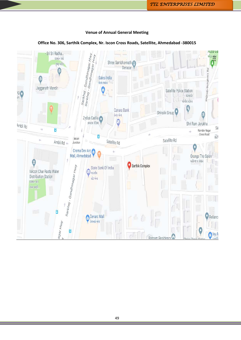

# **Venue of Annual General Meeting**

**Office No. 306, Sarthik Complex, Nr. Iscon Cross Roads, Satellite, Ahmedabad -380015**